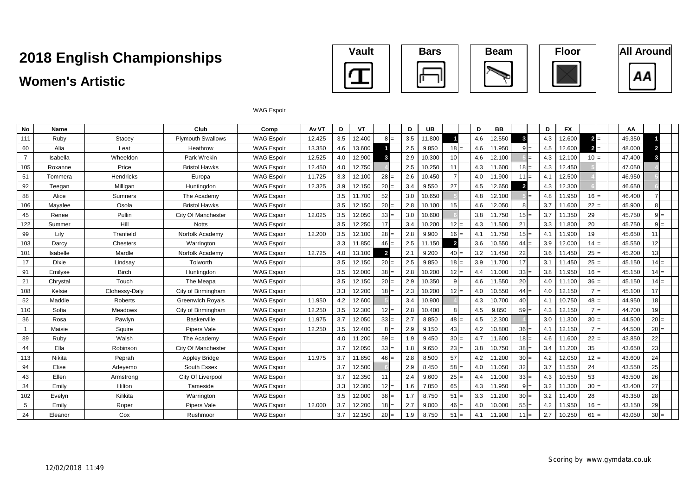### **Women's Artistic**









#### WAG Espoir

| No             | Name          |                | Club                      | Comp              | Av VT  | D   | VT     |                         | D   | <b>UB</b> |                | D   | <b>BB</b> |                 | D   | <b>FX</b> |        | AA     |        |  |
|----------------|---------------|----------------|---------------------------|-------------------|--------|-----|--------|-------------------------|-----|-----------|----------------|-----|-----------|-----------------|-----|-----------|--------|--------|--------|--|
| 111            | Ruby          | Stacey         | <b>Plymouth Swallows</b>  | <b>WAG Espoir</b> | 12.425 | 3.5 | 12.400 | $l =$                   | 3.5 | 11.800    |                | 4.6 | 12.550    |                 | 4.3 | 12.600    | $2 =$  | 49.350 |        |  |
| 60             | Alia          | Leat           | Heathrow                  | <b>WAG Espoir</b> | 13.350 | 4.6 | 13.600 |                         | 2.5 | 9.850     | $18 =$         | 4.6 | 11.950    |                 | 4.5 | 12.600    | $2 =$  | 48.000 |        |  |
| $\overline{7}$ | Isabella      | Wheeldon       | Park Wrekin               | <b>WAG Espoir</b> | 12.525 | 4.0 | 12.900 |                         | 2.9 | 10.300    | 10             | 4.6 | 12.100    |                 | 4.3 | 12.100    | $10 =$ | 47.400 |        |  |
| 105            | Roxanne       | Price          | <b>Bristol Hawks</b>      | <b>WAG Espoir</b> | 12.450 | 4.0 | 12.750 |                         | 2.5 | 10.250    | 11             | 4.3 | 11.600    | $18 =$          | 4.3 | 12.450    |        | 47.050 |        |  |
| 51             | Tommera       | Hendricks      | Europa                    | <b>WAG Espoir</b> | 11.725 | 3.3 | 12.100 | $28 =$                  | 2.6 | 10.450    |                | 4.0 | 11.900    | 11              | 4.1 | 12.500    |        | 46.950 |        |  |
| 92             | Teegan        | Milligan       | Huntingdon                | <b>WAG Espoir</b> | 12.325 | 3.9 | 12.150 | 20                      | 3.4 | 9.550     | 27             | 4.5 | 12.650    | $\overline{2}$  | 4.3 | 12.300    |        | 46.650 |        |  |
| 88             | Alice         | Sumners        | The Academy               | <b>WAG Espoir</b> |        | 3.5 | 11.700 | 52                      | 3.0 | 10.650    |                | 4.8 | 12.100    |                 | 4.8 | 11.950    | $16 =$ | 46.400 |        |  |
| 106            | Mayalee       | Osola          | <b>Bristol Hawks</b>      | <b>WAG Espoir</b> |        | 3.5 | 12.150 | 20                      | 2.8 | 10.100    | 15             | 4.6 | 12.050    |                 | 3.7 | 11.600    | $22 =$ | 45.900 |        |  |
| 45             | Renee         | Pullin         | City Of Manchester        | <b>WAG Espoir</b> | 12.025 | 3.5 | 12.050 | $33 =$                  | 3.0 | 10.600    |                | 3.8 | 11.750    | $15 =$          | 3.7 | 11.350    | 29     | 45.750 | l=     |  |
| 122            | Summer        | Hill           | <b>Notts</b>              | <b>WAG Espoir</b> |        | 3.5 | 12.250 | 17                      | 3.4 | 10.200    | $12 =$         | 4.3 | 11.500    | 21              | 3.3 | 11.800    | 20     | 45.750 | $=$    |  |
| 99             | Lily          | Tranfield      | Norfolk Academy           | <b>WAG Espoir</b> | 12.200 | 3.5 | 12.100 | $28 =$                  | 2.8 | 9.900     | $16 =$         | 4.1 | 11.750    | $15 =$          | 4.1 | 11.900    | 19     | 45.650 |        |  |
| 103            | Darcy         | Chesters       | Warrington                | <b>WAG Espoir</b> |        | 3.3 | 11.850 | $46 =$                  | 2.5 | 11.150    | $\overline{2}$ | 3.6 | 10.550    | 44              | 3.9 | 12.000    | $14 =$ | 45.550 | 12     |  |
| 101            | Isabelle      | Mardle         | Norfolk Academy           | <b>WAG Espoir</b> | 12.725 | 4.0 | 13.100 | $\overline{\mathbf{2}}$ | 2.1 | 9.200     | $40 =$         | 3.2 | 11.450    | 22              | 3.6 | 11.450    | $25 =$ | 45.200 | 13     |  |
| 17             | Dixie         | Lindsay        | Tolworth                  | <b>WAG Espoir</b> |        | 3.5 | 12.150 | $20 =$                  | 2.5 | 9.850     | $18 =$         | 3.9 | 11.700    | 17              | 3.1 | 11.450    | $25 =$ | 45.150 | $14 =$ |  |
| 91             | Emilyse       | <b>Birch</b>   | Huntingdon                | <b>WAG Espoir</b> |        | 3.5 | 12.000 | $38 =$                  | 2.8 | 10.200    | $12 =$         | 4.4 | 11.000    | $33 =$          | 3.8 | 11.950    | $16 =$ | 45.150 | $14 =$ |  |
| 21             | Chrystal      | Touch          | The Meapa                 | <b>WAG Espoir</b> |        | 3.5 | 12.150 | $20 =$                  | 2.9 | 10.350    |                | 4.6 | 11.550    | 20              | 4.0 | 11.100    | $36 =$ | 45.150 | 14     |  |
| 108            | Kelsie        | Clohessy-Daly  | City of Birmingham        | <b>WAG Espoir</b> |        | 3.3 | 12.200 | $18 =$                  | 2.3 | 10.200    | $12 =$         | 4.0 | 10.550    | 44              | 4.0 | 12.150    | $7 =$  | 45.100 | 17     |  |
| 52             | Maddie        | Roberts        | <b>Greenwich Royals</b>   | <b>WAG Espoir</b> | 11.950 | 4.2 | 12.600 |                         | 3.4 | 10.900    |                | 4.3 | 10.700    | 40              | 4.1 | 10.750    | $48 =$ | 44.950 | 18     |  |
| 110            | Sofia         | <b>Meadows</b> | City of Birmingham        | <b>WAG Espoir</b> | 12.250 | 3.5 | 12.300 | $12 =$                  | 2.8 | 10.400    |                | 4.5 | 9.850     | $59 =$          | 4.3 | 12.150    | $7 =$  | 44.700 | 19     |  |
| 36             | Rosa          | Pawlyn         | <b>Baskerville</b>        | <b>WAG Espoir</b> | 11.975 | 3.7 | 12.050 | $33 =$                  | 2.7 | 8.850     | $48 =$         | 4.5 | 12.300    |                 | 3.0 | 11.300    | $30 =$ | 44.500 | $20 =$ |  |
| $\overline{1}$ | Maisie        | Squire         | Pipers Vale               | <b>WAG Espoir</b> | 12.250 | 3.5 | 12.400 | $=$                     | 2.9 | 9.150     | 43             | 4.2 | 10.800    | $36 =$          | 4.1 | 12.150    | l=     | 44.500 | $20 =$ |  |
| 89             | Ruby          | Walsh          | The Academy               | <b>WAG Espoir</b> |        | 4.0 | 11.200 | $59 =$                  | 1.9 | 9.450     | $30 =$         | 4.7 | 11.600    | $18 =$          | 4.6 | 11.600    | $22 =$ | 43.850 | 22     |  |
| 44             | Ella          | Robinson       | <b>City Of Manchester</b> | <b>WAG Espoir</b> |        | 3.7 | 12.050 | $33 =$                  | 1.8 | 9.650     | $23 =$         | 3.8 | 10.750    | $38 =$          | 3.4 | 11.200    | 35     | 43.650 | 23     |  |
| 113            | <b>Nikita</b> | Peprah         | <b>Appley Bridge</b>      | <b>WAG Espoir</b> | 11.975 | 3.7 | 11.850 | $46 =$                  | 2.8 | 8.500     | 57             | 4.2 | 11.200    | $30 =$          | 4.2 | 12.050    | $12 =$ | 43.600 | 24     |  |
| 94             | Elise         | Adevemo        | South Essex               | <b>WAG Espoir</b> |        | 3.7 | 12.500 |                         | 2.9 | 8.450     | $58 =$         | 4.0 | 11.050    | 32              | 3.7 | 11.550    | 24     | 43.550 | 25     |  |
| 43             | Ellen         | Armstrong      | City Of Liverpool         | <b>WAG Espoir</b> |        | 3.7 | 12.350 | 11                      | 2.4 | 9.600     | $25 =$         | 4.4 | 11.000    | $33 =$          | 4.3 | 10.550    | 53     | 43.500 | 26     |  |
| 34             | Emily         | Hilton         | Tameside                  | <b>WAG Espoir</b> |        | 3.3 | 12.300 | 12                      | 1.6 | 7.850     | 65             | 4.3 | 11.950    |                 | 3.2 | 11.300    | $30 =$ | 43.400 | 27     |  |
| 102            | Evelvn        | Kilikita       | Warrington                | <b>WAG Espoir</b> |        | 3.5 | 12.000 | $38 =$                  | 1.7 | 8.750     | $51 =$         | 3.3 | 11.200    | 30 <sup>1</sup> | 3.2 | 11.400    | 28     | 43.350 | 28     |  |
| 5              | Emily         | Roper          | Pipers Vale               | <b>WAG Espoir</b> | 12.000 | 3.7 | 12.200 | $18 =$                  | 2.7 | 9.000     | $46 =$         | 4.0 | 10.000    | $55 =$          | 4.2 | 11.950    | $16 =$ | 43.150 | 29     |  |
| 24             | Eleanor       | Cox            | Rushmoor                  | <b>WAG Espoir</b> |        | 3.7 | 12.150 | $20 =$                  | 1.9 | 8.750     | $51 =$         | 4.1 | 11.900    | $111 =$         | 2.7 | 10.250    | $61 =$ | 43.050 | $30 =$ |  |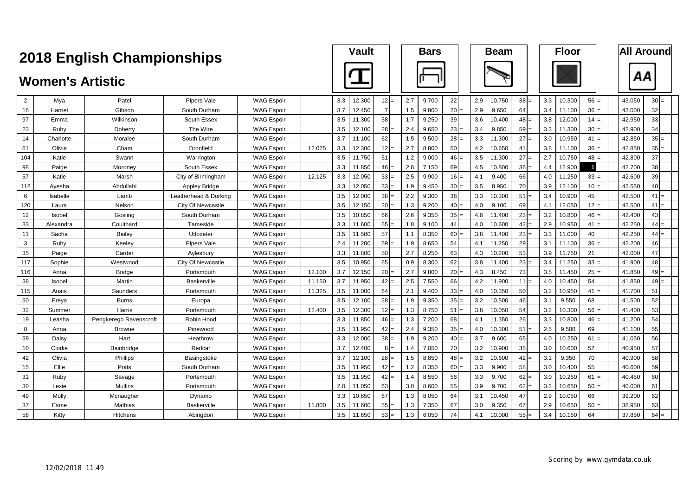|     |                         | <b>2018 English Championships</b> |                          |                   |        |     | <b>Vault</b> |                 |     | <b>Bars</b> |        |     | <b>Beam</b> |        |     | <b>Floor</b> |                 |        | <b>All Around</b> |
|-----|-------------------------|-----------------------------------|--------------------------|-------------------|--------|-----|--------------|-----------------|-----|-------------|--------|-----|-------------|--------|-----|--------------|-----------------|--------|-------------------|
|     | <b>Women's Artistic</b> |                                   |                          |                   |        |     |              |                 |     |             |        |     |             |        |     |              |                 | ΑА     |                   |
| 2   | Mya                     | Patel                             | Pipers Vale              | WAG Espoir        |        | 3.3 | 12.300       | $12 =$          | 2.7 | 9.700       | 22     | 2.9 | 10.750      | $38 =$ | 3.3 | 10.300       | $56 =$          | 43.050 | $30 =$            |
| 16  | Harriet                 | Gibson                            | South Durham             | <b>WAG Espoir</b> |        | 3.7 | 12.450       |                 | 1.5 | 9.800       | 20     | 2.9 | 9.650       | 64     | 3.4 | 11.100       | 36:             | 43.000 | 32                |
| 97  | Emma                    | Wilkinson                         | South Essex              | <b>WAG Espoir</b> |        | 3.5 | 11.300       | 58              | 1.7 | 9.250       | 39     | 3.6 | 10.400      | 48     | 3.8 | 12.000       | $14 =$          | 42.950 | 33                |
| 23  | Ruby                    | Doherty                           | The Wire                 | <b>WAG Espoir</b> |        | 3.5 | 12.100       | 28              | 2.4 | 9.650       | 23     | 3.4 | 9.850       | 59     | 3.3 | 11.300       | $30 =$          | 42.900 | 34                |
| 14  | Charlotte               | Moralee                           | South Durham             | <b>WAG Espoir</b> |        | 3.7 | 11.100       | 62              | 1.5 | 9.500       | 28     | 3.3 | 11.300      | 27     | 3.0 | 10.950       | $41 =$          | 42.850 | $35 =$            |
| 61  | Olivia                  | Cham                              | Dronfield                | <b>WAG Espoir</b> | 12.075 | 3.3 | 12.300       | 12              | 2.7 | 8.800       | 50     | 4.2 | 10.650      | 41     | 3.8 | 11.100       | $36 =$          | 42.850 | $35 =$            |
| 104 | Katie                   | Swann                             | Warrington               | <b>WAG Espoir</b> |        | 3.5 | 11.750       | 51              | 1.2 | 9.000       | 46     | 3.5 | 11.300      | 27     | 2.7 | 10.750       | $48 =$          | 42.800 | 37                |
| 98  | Paige                   | Moroney                           | South Essex              | <b>WAG Espoir</b> |        | 3.3 | 11.850       | 46              | 2.8 | 7.150       | 69     | 4.5 | 10.800      | $36$ = | 4.4 | 12.900       | $\mathbf{1}$    | 42.700 | 38                |
| 57  | Katie                   | Marsh                             | City of Birmingham       | <b>WAG Espoir</b> | 12.125 | 3.3 | 12.050       | 33              | 2.5 | 9.900       | $16 =$ | 4.1 | 9.400       | 66     | 4.0 | 11.250       | $33 =$          | 42.600 | 39                |
| 112 | Ayesha                  | Abdullahi                         | Appley Bridge            | <b>WAG Espoir</b> |        | 3.3 | 12.050       | 33              | 1.9 | 9.450       | 30:    | 3.5 | 8.950       | 70     | 3.9 | 12.100       | $10 =$          | 42.550 | 40                |
| 6   | Isabelle                | Lamb                              | Leatherhead & Dorking    | <b>WAG Espoir</b> |        | 3.5 | 12.000       | 38              | 2.2 | 9.300       | 38     | 3.3 | 10.300      | 51     | 3.4 | 10.900       | 45              | 42.500 | 41                |
| 120 | Laura                   | Nelson                            | City Of Newcastle        | <b>WAG Espoir</b> |        | 3.5 | 12.150       | 20              | 1.3 | 9.200       | 40     | 4.0 | 9.100       | 69     | 4.1 | 12.050       | 12:             | 42.500 | 41                |
| 12  | Isobel                  | Gosling                           | South Durham             | <b>WAG Espoir</b> |        | 3.5 | 10.850       | 66              | 2.6 | 9.350       | 35     | 4.6 | 11.400      | 23     | 3.2 | 10.800       | 46:             | 42.400 | 43                |
| 33  | Alexandra               | Coulthard                         | Tameside                 | WAG Espoir        |        | 3.3 | 11.600       | 55              | 1.8 | 9.100       | 44     | 4.0 | 10.600      | 42     | 2.9 | 10.950       | $41 =$          | 42.250 | 44                |
| 11  | Sacha                   | Bailey                            | Uttoxeter                | <b>WAG Espoir</b> |        | 3.5 | 11.500       | 57              | 1.1 | 8.350       | $60 =$ | 3.8 | 11.400      | $23 =$ | 3.3 | 11.000       | 40              | 42.250 | $44 =$            |
| 3   | Ruby                    | Keeley                            | Pipers Vale              | <b>WAG Espoir</b> |        | 2.4 | 11.200       | 59              | 1.9 | 8.650       | 54     | 4.1 | 11.250      | 29     | 3.1 | 11.100       | 36:             | 42.200 | 46                |
| 35  | Paige                   | Carder                            | Aylesbury                | <b>WAG Espoir</b> |        | 3.3 | 11.800       | 50              | 2.7 | 8.250       | 63     | 4.3 | 10.200      | 53     | 3.9 | 11.750       | 21              | 42.000 | 47                |
| 117 | Sophie                  | Westwood                          | <b>City Of Newcastle</b> | <b>WAG Espoir</b> |        | 3.5 | 10.950       | 65              | 0.9 | 8.300       | 62     | 3.8 | 11.400      | 23     | 3.4 | 11.250       | 33              | 41.900 | 48                |
| 116 | Anna                    | <b>Bridge</b>                     | Portsmouth               | <b>WAG Espoir</b> | 12.100 | 3.7 | 12.150       | 20              | 2.7 | 9.800       | 20     | 4.3 | 8.450       | 73     | 3.5 | 11.450       | 25:             | 41.850 | $49 =$            |
| 38  | Isobel                  | Martin                            | <b>Baskerville</b>       | <b>WAG Espoir</b> | 11.150 | 3.7 | 11.950       | 42              | 2.5 | 7.550       | 66     | 4.2 | 11.900      | 11     | 4.0 | 10.450       | 54              | 41.850 | $49 =$            |
| 115 | Anais                   | Saunders                          | Portsmouth               | <b>WAG Espoir</b> | 11.325 | 3.5 | 11.000       | 64              | 2.1 | 9.400       | 33     | 4.0 | 10.350      | 50     | 3.2 | 10.950       | 41              | 41.700 | 51                |
| 50  | Freya                   | <b>Burns</b>                      | Europa                   | <b>WAG Espoir</b> |        | 3.5 | 12.100       | 28              | 1.9 | 9.350       | 35     | 3.2 | 10.500      | 46     | 3.1 | 9.550        | 68              | 41.500 | 52                |
| 32  | Summer                  | Harris                            | Portsmouth               | <b>WAG Espoir</b> | 12.400 | 3.5 | 12.300       | 12              | 1.3 | 8.750       | 51     | 3.8 | 10.050      | 54     | 3.2 | 10.300       | $56 =$          | 41.400 | 53                |
| 19  | Leasha                  | Pengkerego Ravenscroft            | Robin Hood               | <b>WAG Espoir</b> |        | 3.3 | 11.850       | $46 =$          | 1.3 | 7.200       | 68     | 4.1 | 11.350      | 26     | 3.3 | 10.800       | $46 =$          | 41.200 | 54                |
| 8   | Anna                    | <b>Browne</b>                     | Pinewood                 | <b>WAG Espoir</b> |        | 3.5 | 11.950       | 42              | 2.4 | 9.350       | 35     | 4.0 | 10.300      | 51     | 2.5 | 9.500        | 69              | 41.100 | 55                |
| 59  | Daisy                   | Hart                              | Heathrow                 | <b>WAG Espoir</b> |        | 3.3 | 12.000       | 38 <sup>l</sup> | 1.9 | 9.200       | $40 =$ | 3.7 | 9.600       | 65     | 4.0 | 10.250       | $61 =$          | 41.050 | 56                |
| 10  | Clodie                  | Bainbridge                        | Redcar                   | <b>WAG Espoir</b> |        | 3.7 | 12.400       | $8 =$           | 1.4 | 7.050       | 70     | 3.2 | 10.900      | 35     | 3.0 | 10.600       | 52              | 40.950 | 57                |
| 42  | Olivia                  | Phillips                          | Basingstoke              | <b>WAG Espoir</b> |        | 3.7 | 12.100       | 28              | 1.5 | 8.850       | 48:    | 3.2 | 10.600      | 42     | 3.1 | 9.350        | 70              | 40.900 | 58                |
| 15  | Ellie                   | Potts                             | South Durham             | <b>WAG Espoir</b> |        | 3.5 | 11.950       | 42              | 1.2 | 8.350       | 60     | 3.3 | 9.900       | 58     | 3.0 | 10.400       | 55              | 40.600 | 59                |
| 31  | Ruby                    | Savage                            | Portsmouth               | <b>WAG Espoir</b> |        | 3.5 | 11.950       | 42              | 1.4 | 8.550       | 56     | 3.3 | 9.700       | 62     | 3.0 | 10.250       | 61              | 40.450 | 60                |
| 30  | Lexie                   | Mullins                           | Portsmouth               | <b>WAG Espoir</b> |        | 2.0 | 11.050       | 63              | 3.0 | 8.600       | 55     | 3.9 | 9.700       | 62     | 3.2 | 10.650       | 50 <sup>1</sup> | 40.000 | 61                |
| 49  | Molly                   | Mcnaugher                         | Dynamo                   | WAG Espoir        |        | 3.3 | 10.650       | 67              | 1.3 | 8.050       | 64     | 3.1 | 10.450      | 47     | 2.9 | 10.050       | 66              | 39.200 | 62                |
| 37  | Esme                    | Mathias                           | Baskerville              | <b>WAG Espoir</b> | 11.800 | 3.5 | 11.600       | 55              | 1.3 | 7.350       | 67     | 3.0 | 9.350       | 67     | 2.9 | 10.650       | 50:             | 38.950 | 63                |
| 58  | Kitty                   | <b>Hitchens</b>                   | Abingdon                 | <b>WAG Espoir</b> |        | 3.5 | 11.650       | 53<br>$=$       | 1.3 | 6.050       | 74     | 4.1 | 10.000      | $55 =$ | 3.4 | 10.150       | 64              | 37.850 | 64                |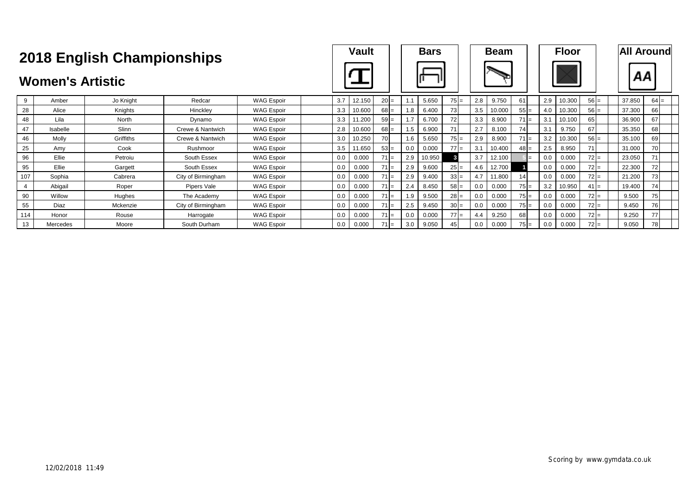|     |                         | <b>2018 English Championships</b> |                    |                   |     | <b>Vault</b> |        |     | <b>Bars</b> |        |     | <b>Beam</b> |        |     | <b>Floor</b> |        |        | <b>All Around</b> |  |
|-----|-------------------------|-----------------------------------|--------------------|-------------------|-----|--------------|--------|-----|-------------|--------|-----|-------------|--------|-----|--------------|--------|--------|-------------------|--|
|     | <b>Women's Artistic</b> |                                   |                    |                   |     |              |        |     |             |        |     |             |        |     |              |        | ΑА     |                   |  |
| 9   | Amber                   | Jo Knight                         | Redcar             | <b>WAG Espoir</b> | 3.7 | 12.150       | $20 =$ |     | 5.650       | $75 =$ | 2.8 | 9.750       | 61     | 2.9 | 10.300       | $56 =$ | 37.850 | $64 =$            |  |
| 28  | Alice                   | Knights                           | Hinckley           | <b>WAG Espoir</b> | 3.3 | 10.600       | $68 =$ | 1.8 | 6.400       | 73     | 3.5 | 10.000      | $55 =$ | 4.0 | 10.300       | $56 =$ | 37.300 | 66                |  |
| 48  | Lila                    | North                             | Dynamo             | <b>WAG Espoir</b> | 3.3 | 1.200        | $59 =$ | 1.7 | 6.700       | 72     | 3.3 | 8.900       | $71 =$ | 3.1 | 10.100       | 651    | 36.900 | 67                |  |
| 47  | Isabelle                | Slinn                             | Crewe & Nantwich   | <b>WAG Espoir</b> | 2.8 | 10.600       | $68 =$ | 1.5 | 6.900       | 71     | 2.7 | 8.100       | 74     | 3.1 | 9.750        | 67     | 35.350 | 68                |  |
| 46  | Molly                   | Griffiths                         | Crewe & Nantwich   | <b>WAG Espoir</b> | 3.0 | 10.250       | 70     | 1.6 | 5.650       | $75 =$ | 2.9 | 8.900       | $71 =$ | 3.2 | 10.300       | $56 =$ | 35.100 | 69                |  |
| 25  | Amv                     | Cook                              | Rushmoor           | <b>WAG Espoir</b> | 3.5 | 11.650       | $53 =$ | 0.0 | 0.000       | $77 =$ | 3.1 | 10.400      | $48 =$ | 2.5 | 8.950        |        | 31.000 | 70                |  |
| 96  | Ellie                   | Petroiu                           | South Essex        | <b>WAG Espoir</b> | 0.0 | 0.000        | $71 =$ | 2.9 | 10.950      |        | 3.7 | 12.100      |        | 0.0 | 0.000        | $72 =$ | 23.050 | 71                |  |
| 95  | Ellie                   | Gargett                           | South Essex        | <b>WAG Espoir</b> | 0.0 | 0.000        | $71 =$ | 2.9 | 9.600       | $25 =$ | 4.6 | 12.700      |        | 0.0 | 0.000        | $72 =$ | 22.300 | 72                |  |
| 107 | Sophia                  | Cabrera                           | City of Birmingham | <b>WAG Espoir</b> | 0.0 | 0.000        | $71 =$ | 2.9 | 9.400       | $33 =$ | 4.7 | 11.800      | 14     | 0.0 | 0.000        | $72 =$ | 21.200 | 73                |  |
| 4   | Abigail                 | Roper                             | Pipers Vale        | <b>WAG Espoir</b> | 0.0 | 0.000        | $71 =$ | 2.4 | 8.450       | $58 =$ | 0.0 | 0.000       | $75 =$ | 3.2 | 10.950       | $41 =$ | 19.400 | 74                |  |
| 90  | Willow                  | Hughes                            | The Academy        | <b>WAG Espoir</b> | 0.0 | 0.000        | $71 =$ | 1.9 | 9.500       | $28 =$ | 0.0 | 0.000       | $75 =$ | 0.0 | 0.000        | $72 =$ | 9.500  | 75                |  |
| 55  | Diaz                    | Mckenzie                          | City of Birmingham | <b>WAG Espoir</b> | 0.0 | 0.000        | $71 =$ | 2.5 | 9.450       | $30 =$ | 0.0 | 0.000       | $75 =$ | 0.0 | 0.000        | $72 =$ | 9.450  | 76                |  |
| 114 | Honor                   | Rouse                             | Harrogate          | <b>WAG Espoir</b> | 0.0 | 0.000        | $71 =$ | 0.0 | 0.000       | $77 =$ | 4.4 | 9.250       | 68     | 0.0 | 0.000        | $72 =$ | 9.250  | 77                |  |
| 13  | Mercedes                | Moore                             | South Durham       | <b>WAG Espoir</b> | 0.0 | 0.000        | $71 =$ | 3.0 | 9.050       | 45     | 0.0 | 0.000       | $75 =$ | 0.0 | 0.000        | $72 =$ | 9.050  | 78                |  |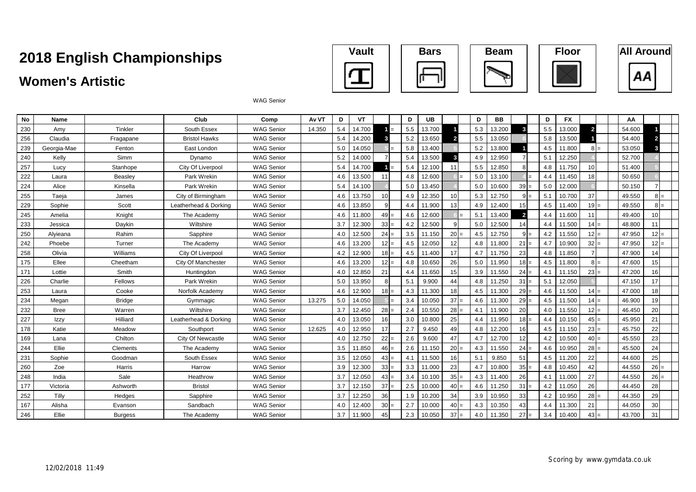## **Women's Artistic**









WAG Senior

| <b>No</b> | Name        |                | Club                  | Comp              | Av VT  | D   | <b>VT</b> |        | D   | <b>UB</b> |        | D   | <b>BB</b> |                | D   | <b>FX</b> |                | ΑА     |                 |  |
|-----------|-------------|----------------|-----------------------|-------------------|--------|-----|-----------|--------|-----|-----------|--------|-----|-----------|----------------|-----|-----------|----------------|--------|-----------------|--|
| 230       | Amy         | Tinkler        | South Essex           | WAG Senior        | 14.350 | 5.4 | 14.700    |        | 5.5 | 13.700    |        | 5.3 | 13.200    | 3              | 5.5 | 13.000    | $\overline{2}$ | 54.600 |                 |  |
| 256       | Claudia     | Fragapane      | <b>Bristol Hawks</b>  | <b>WAG Senior</b> |        | 5.4 | 14.200    |        | 5.2 | 13.650    |        | 5.5 | 13.050    |                | 5.8 | 13.500    |                | 54.400 |                 |  |
| 239       | Georgia-Mae | Fenton         | East London           | <b>WAG Senior</b> |        | 5.0 | 14.050    |        | 5.8 | 13.400    |        | 5.2 | 13.800    |                | 4.5 | 11.800    | 8 I=           | 53.050 |                 |  |
| 240       | Kelly       | Simm           | Dynamo                | <b>WAG Senior</b> |        | 5.2 | 14.000    |        | 5.4 | 13.500    | 3      | 4.9 | 12.950    |                | 5.1 | 12.250    |                | 52.700 |                 |  |
| 257       | Lucy        | Stanhope       | City Of Liverpool     | <b>WAG Senior</b> |        | 5.4 | 14.700    |        | 5.4 | 12.100    | 11     | 5.5 | 12.850    |                | 4.8 | 11.750    | 10             | 51.400 |                 |  |
| 222       | Laura       | Beasley        | Park Wrekin           | <b>WAG Senior</b> |        | 4.6 | 13.500    | 11     | 4.8 | 12,600    |        | 5.0 | 13.100    |                | 4.4 | 11.450    | 18             | 50.650 |                 |  |
| 224       | Alice       | Kinsella       | Park Wrekin           | <b>WAG Senior</b> |        | 5.4 | 14.100    |        | 5.0 | 13.450    |        | 5.0 | 10.600    | $39 =$         | 5.0 | 12.000    |                | 50.150 |                 |  |
| 255       | Taeja       | James          | City of Birmingham    | <b>WAG Senior</b> |        | 4.6 | 13.750    | 10     | 4.9 | 12.350    | 10     | 5.3 | 12.750    |                | 5.1 | 10.700    | 37             | 49.550 |                 |  |
| 229       | Sophie      | Scott          | Leatherhead & Dorking | <b>WAG Senior</b> |        | 4.6 | 13.850    |        | 4.4 | 11.900    | 13     | 4.9 | 12.400    | 15             | 4.5 | 11.400    | $19 =$         | 49.550 |                 |  |
| 245       | Amelia      | Knight         | The Academy           | <b>WAG Senior</b> |        | 4.6 | 11.800    | $49 =$ | 4.6 | 12.600    |        | 5.1 | 13.400    | $\overline{2}$ | 4.4 | 11.600    | 11             | 49.400 | 10 <sup>1</sup> |  |
| 233       | Jessica     | Daykin         | Wiltshire             | <b>WAG Senior</b> |        | 3.7 | 12.300    | $33 =$ | 4.2 | 12.500    |        | 5.0 | 12.500    | 14             | 4.4 | 11.500    | $14 =$         | 48.800 | 11              |  |
| 250       | Alvieana    | Rahim          | Sapphire              | <b>WAG Senior</b> |        | 4.0 | 12.500    | $24 =$ | 3.5 | 11.150    | 20     | 4.5 | 12.750    | $=$            | 4.2 | 11.550    | $12 =$         | 47.950 | $12 =$          |  |
| 242       | Phoebe      | Turner         | The Academy           | <b>WAG Senior</b> |        | 4.6 | 13.200    | $12 =$ | 4.5 | 12.050    | 12     | 4.8 | 11.800    | 21             | 4.7 | 10.900    | $32 =$         | 47.950 | $12 =$          |  |
| 258       | Olivia      | Williams       | City Of Liverpool     | <b>WAG Senior</b> |        | 4.2 | 12.900    | $18 =$ | 4.5 | 11.400    | 17     | 4.7 | 11.750    | 23             | 4.8 | 11.850    |                | 47.900 | 14              |  |
| 175       | Ellee       | Cheetham       | City Of Manchester    | <b>WAG Senior</b> |        | 4.6 | 13.200    | $12 =$ | 4.8 | 10.650    | 26     | 5.0 | 11.950    | $18 =$         | 4.5 | 11.800    | $8 =$          | 47.600 | 15              |  |
| 171       | Lottie      | Smith          | Huntingdon            | <b>WAG Senior</b> |        | 4.0 | 12.850    | 21     | 4.4 | 11.650    | 15     | 3.9 | 11.550    | $24 =$         | 4.1 | 11.150    | $23 =$         | 47.200 | 16              |  |
| 226       | Charlie     | Fellows        | Park Wrekin           | <b>WAG Senior</b> |        | 5.0 | 13.950    |        | 5.1 | 9.900     | 44     | 4.8 | 11.250    | 31             | 5.1 | 12.050    |                | 47.150 | 17              |  |
| 253       | Laura       | Cooke          | Norfolk Academy       | <b>WAG Senior</b> |        | 4.6 | 12.900    | $18 =$ | 4.3 | 11.300    | 18     | 4.5 | 11.300    | 29             | 4.6 | 11.500    | $14 =$         | 47.000 | 18              |  |
| 234       | Megan       | <b>Bridge</b>  | Gymmagic              | <b>WAG Senior</b> | 13.275 | 5.0 | 14.050    |        | 3.4 | 10.050    | 37     | 4.6 | 11.300    | 29             | 4.5 | 11.500    | $14 =$         | 46.900 | 19              |  |
| 232       | <b>Bree</b> | Warren         | Wiltshire             | <b>WAG Senior</b> |        | 3.7 | 12.450    | $28 =$ | 2.4 | 10.550    | 28:    | 4.1 | 11.900    | 20             | 4.0 | 11.550    | $12 =$         | 46.450 | 20              |  |
| 227       | Izzy        | Hilliard       | Leatherhead & Dorking | <b>WAG Senior</b> |        | 4.0 | 13.050    | 16     | 3.0 | 10.800    | 25     | 4.4 | 11.950    | 18             | 4.4 | 10.150    | $45 =$         | 45.950 | 21              |  |
| 178       | Katie       | Meadow         | Southport             | <b>WAG Senior</b> | 12.625 | 4.0 | 12.950    | 17     | 2.7 | 9.450     | 49     | 4.8 | 12.200    | 16             | 4.5 | 11.150    | $23 =$         | 45.750 | 22              |  |
| 169       | Lana        | Chilton        | City Of Newcastle     | <b>WAG Senior</b> |        | 4.0 | 12.750    | $22 =$ | 2.6 | 9.600     | 47     | 4.7 | 12.700    | 12             | 4.2 | 10.500    | $40 =$         | 45.550 | 23              |  |
| 244       | Ellie       | Clements       | The Academy           | <b>WAG Senior</b> |        | 3.5 | 11.850    | $46 =$ | 2.6 | 11.150    | 20     | 4.3 | 11.550    | $24 =$         | 4.6 | 10.950    | $28 =$         | 45.500 | 24              |  |
| 231       | Sophie      | Goodman        | South Essex           | <b>WAG Senior</b> |        | 3.5 | 12.050    | $43 =$ | 4.1 | 11.500    | 16     | 5.1 | 9.850     | 51             | 4.5 | 11.200    | 22             | 44.600 | 25              |  |
| 260       | Zoe         | Harris         | Harrow                | <b>WAG Senior</b> |        | 3.9 | 12.300    | $33 =$ | 3.3 | 11.000    | 23     | 4.7 | 10.800    | $35 =$         | 4.8 | 10.450    | 42             | 44.550 | $26 =$          |  |
| 248       | India       | Sale           | Heathrow              | <b>WAG Senior</b> |        | 3.7 | 12.050    | $43 =$ | 3.4 | 10.100    | 35     | 4.3 | 11.400    | 26             | 4.1 | 11.000    | 27             | 44.550 | $26 =$          |  |
| 177       | Victoria    | Ashworth       | <b>Bristol</b>        | <b>WAG Senior</b> |        | 3.7 | 12.150    | $37 =$ | 2.5 | 10.000    | $40 =$ | 4.6 | 11.250    | $31 =$         | 4.2 | 11.050    | 26             | 44.450 | 28              |  |
| 252       | Tilly       | Hedges         | Sapphire              | <b>WAG Senior</b> |        | 3.7 | 12.250    | 36     | 1.9 | 10.200    | 34     | 3.9 | 10.950    | 33             | 4.2 | 10.950    | $28 =$         | 44.350 | 29              |  |
| 167       | Alisha      | Evanson        | Sandbach              | <b>WAG Senior</b> |        | 4.0 | 12.400    | $30 =$ | 2.7 | 10.000    | 40     | 4.3 | 10.350    | 43             | 4.4 | 11.300    | 21             | 44.050 | 30              |  |
| 246       | Ellie       | <b>Burgess</b> | The Academy           | <b>WAG Senior</b> |        | 3.7 | 11.900    | 45     | 2.3 | 10.050    | $37 =$ | 4.0 | 11.350    | $27 =$         | 3.4 | 10.400    | $43 =$         | 43.700 | 31              |  |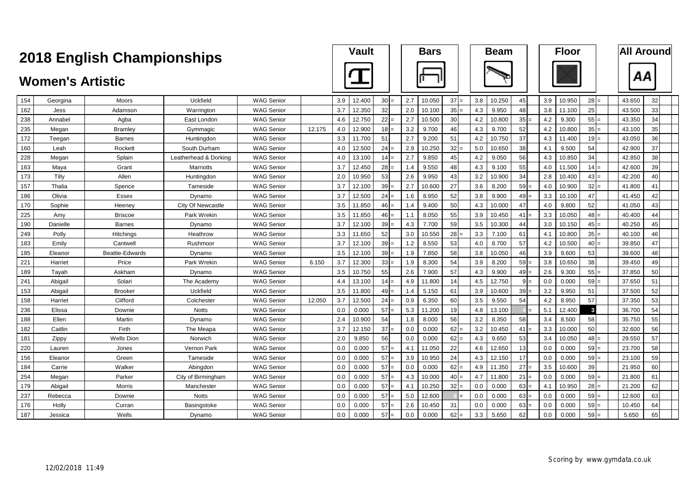|     |                         | <b>2018 English Championships</b> |                       |                   |        |     | Vault  |                 |     | <b>Bars</b> |                 |     | <b>Beam</b> |     |     | <b>Floor</b> |                 |        |    | <b>All Around</b> |
|-----|-------------------------|-----------------------------------|-----------------------|-------------------|--------|-----|--------|-----------------|-----|-------------|-----------------|-----|-------------|-----|-----|--------------|-----------------|--------|----|-------------------|
|     | <b>Women's Artistic</b> |                                   |                       |                   |        |     |        |                 |     |             |                 |     |             |     |     |              |                 |        | ΑА |                   |
| 154 | Georgina                | Moors                             | Uckfield              | <b>WAG Senior</b> |        | 3.9 | 12.400 | 30 <sup>°</sup> | 2.7 | 10.050      | $37 =$          | 3.8 | 10.250      | 45  | 3.9 | 10.950       | $28 =$          | 43.650 |    | 32                |
| 162 | Jess                    | Adamson                           | Warrington            | <b>WAG Senior</b> |        | 3.7 | 12.350 | 32              | 2.0 | 10.100      | 35 <sup>1</sup> | 4.3 | 9.950       | 48  | 3.8 | 11.100       | 25              | 43.500 |    | 33                |
| 238 | Annabel                 | Aqba                              | East London           | <b>WAG Senior</b> |        | 4.6 | 12.750 | 22              | 2.7 | 10.500      | 30              | 4.2 | 10.800      | 35  | 4.2 | 9.300        | 55              | 43.350 |    | 34                |
| 235 | Megan                   | <b>Bramley</b>                    | Gymmagic              | <b>WAG Senior</b> | 12.175 | 4.0 | 12.900 | 18              | 3.2 | 9.700       | 46              | 4.3 | 9.700       | 52  | 4.2 | 10.800       | 35 <sub>1</sub> | 43.100 |    | 35                |
| 172 | Teegan                  | <b>Barnes</b>                     | Huntingdon            | WAG Senior        |        | 3.3 | 11.700 | 51              | 2.7 | 9.200       | 51              | 4.2 | 10.750      | 37  | 4.3 | 11.400       | $19 =$          | 43.050 |    | 36                |
| 160 | Leah                    | Rockett                           | South Durham          | WAG Senior        |        | 4.0 | 12.500 | 24              | 2.9 | 10.250      | 32              | 5.0 | 10.650      | 38  | 4.1 | 9.500        | 54              | 42.900 |    | 37                |
| 228 | Megan                   | Splain                            | Leatherhead & Dorking | <b>WAG Senior</b> |        | 4.0 | 13.100 | 14              | 2.7 | 9.850       | 45              | 4.2 | 9.050       | 56  | 4.3 | 10.850       | 34              | 42.850 |    | 38                |
| 163 | Maya                    | Grant                             | Marriotts             | <b>WAG Senior</b> |        | 3.7 | 12.450 | 28              | 1.4 | 9.550       | 48              | 4.3 | 9.100       | 55  | 4.0 | 11.500       | 14              | 42.600 |    | 39                |
| 173 | Tilly                   | Allen                             | Huntingdon            | <b>WAG Senior</b> |        | 2.0 | 10.950 | 53              | 2.6 | 9.950       | 43              | 3.2 | 10.900      | 34  | 2.8 | 10.400       | $43 =$          | 42.200 |    | 40                |
| 157 | Thalia                  | Spence                            | Tameside              | <b>WAG Senior</b> |        | 3.7 | 12.100 | 39              | 2.7 | 10.600      | 27              | 3.6 | 8.200       | 59  | 4.0 | 10.900       | $32 =$          | 41.800 |    | 41                |
| 186 | Olivia                  | Essex                             | Dynamo                | <b>WAG Senior</b> |        | 3.7 | 12.500 | 24              | 1.6 | 8.950       | 52              | 3.8 | 9.900       | 49: | 3.3 | 10.100       | 47              | 41.450 |    | 42                |
| 170 | Sophie                  | Heeney                            | City Of Newcastle     | <b>WAG Senior</b> |        | 3.5 | 11.850 | 46              | 1.4 | 9.400       | 50              | 4.3 | 10.000      | 47  | 4.0 | 9.800        | 52              | 41.050 |    | 43                |
| 225 | Amv                     | <b>Briscoe</b>                    | Park Wrekin           | <b>WAG Senior</b> |        | 3.5 | 11.850 | 46              | 1.1 | 8.050       | 55              | 3.9 | 10.450      | 41  | 3.3 | 10.050       | 48              | 40.400 |    | 44                |
| 190 | Danielle                | <b>Barnes</b>                     | Dynamo                | WAG Senior        |        | 3.7 | 12.100 | 39              | 4.3 | 7.700       | 59              | 3.5 | 10.300      | 44  | 3.0 | 10.150       | $45 =$          | 40.250 |    | 45                |
| 249 | Polly                   | Hitchings                         | Heathrow              | <b>WAG Senior</b> |        | 3.3 | 11.650 | 52              | 3.0 | 10.550      | <b>28</b>       | 3.3 | 7.100       | 61  | 4.1 | 10.800       | $35 =$          | 40.100 |    | 46                |
| 183 | Emily                   | Cantwell                          | Rushmoor              | <b>WAG Senior</b> |        | 3.7 | 12.100 | 39              | 1.2 | 8.550       | 53              | 4.0 | 8.700       | 57  | 4.2 | 10.500       | $40 =$          | 39.850 |    | 47                |
| 185 | Eleanor                 | Beattie-Edwards                   | Dvnamo                | <b>WAG Senior</b> |        | 3.5 | 12.100 | 39              | 1.9 | 7.850       | 58              | 3.8 | 10.050      | 46  | 3.9 | 9.600        | 53              | 39.600 |    | 48                |
| 221 | Harriet                 | Price                             | Park Wrekin           | <b>WAG Senior</b> | 6.150  | 3.7 | 12.300 | 33              | 1.9 | 8.300       | 54              | 3.9 | 8.200       | 59  | 3.8 | 10.650       | 38              | 39.450 |    | 49                |
| 189 | Tayah                   | Askham                            | Dynamo                | <b>WAG Senior</b> |        | 3.5 | 10.750 | 55              | 2.6 | 7.900       | 57              | 4.3 | 9.900       | 49  | 2.6 | 9.300        | 55              | 37.850 |    | 50                |
| 241 | Abigail                 | Solari                            | The Academy           | <b>WAG Senior</b> |        | 4.4 | 13.100 | 14              | 4.9 | 11.800      | 14              | 4.5 | 12.750      | 9   | 0.0 | 0.000        | $59 =$          | 37.650 |    | 51                |
| 153 | Abigail                 | <b>Brooker</b>                    | Uckfield              | <b>WAG Senior</b> |        | 3.5 | 11.800 | 49              | 1.4 | 5.150       | 61              | 3.9 | 10.600      | 39  | 3.2 | 9.950        | 51              | 37.500 |    | 52                |
| 158 | Harriet                 | Clifford                          | Colchester            | <b>WAG Senior</b> | 12.050 | 3.7 | 12.500 | 24              | 0.9 | 6.350       | 60              | 3.5 | 9.550       | 54  | 4.2 | 8.950        | 57              | 37.350 |    | 53                |
| 236 | Elissa                  | Downie                            | <b>Notts</b>          | <b>WAG Senior</b> |        | 0.0 | 0.000  | 57              | 5.3 | 11.200      | 19              | 4.8 | 13.100      |     | 5.1 | 12.400       | $\mathbf{3}$    | 36.700 |    | 54                |
| 188 | Ellen                   | Martin                            | Dynamo                | <b>WAG Senior</b> |        | 2.4 | 10.900 | 54              | 1.8 | 8.000       | 56              | 3.2 | 8.350       | 58  | 3.4 | 8.500        | 58              | 35.750 |    | 55                |
| 182 | Caitlin                 | Firth                             | The Meapa             | <b>WAG Senior</b> |        | 3.7 | 12.150 | 37              | 0.0 | 0.000       | 62              | 3.2 | 10.450      | 41  | 3.3 | 10.000       | 50              | 32.600 |    | 56                |
| 181 | Zippy                   | <b>Wells Dion</b>                 | Norwich               | <b>WAG Senior</b> |        | 2.0 | 9.850  | 56              | 0.0 | 0.000       | 62              | 4.3 | 9.650       | 53  | 3.4 | 10.050       | 48              | 29.550 |    | 57                |
| 220 | Lauren                  | Jones                             | Vernon Park           | <b>WAG Senior</b> |        | 0.0 | 0.000  | 57              | 4.1 | 11.050      | 22              | 4.6 | 12.650      | 13  | 0.0 | 0.000        | $59 =$          | 23.700 |    | 58                |
| 156 | Eleanor                 | Green                             | Tameside              | WAG Senior        |        | 0.0 | 0.000  | 57              | 3.9 | 10.950      | 24              | 4.3 | 12.150      | 17  | 0.0 | 0.000        | $59 =$          | 23.100 |    | 59                |
| 184 | Carrie                  | Walker                            | Abingdon              | <b>WAG Senior</b> |        | 0.0 | 0.000  | 57              | 0.0 | 0.000       | 62              | 4.9 | 11.350      | 27  | 3.5 | 10.600       | 39              | 21.950 |    | 60                |
| 254 | Megan                   | Parker                            | City of Birmingham    | <b>WAG Senior</b> |        | 0.0 | 0.000  | 57              | 4.3 | 10.000      | 40              | 4.7 | 11.800      | 21  | 0.0 | 0.000        | 59              | 21.800 |    | 61                |
| 179 | Abigail                 | Morris                            | Manchester            | <b>WAG Senior</b> |        | 0.0 | 0.000  | 57              | 4.1 | 10.250      | 32 <sub>l</sub> | 0.0 | 0.000       | 63  | 4.1 | 10.950       | $28 =$          | 21.200 |    | 62                |
| 237 | Rebecca                 | Downie                            | <b>Notts</b>          | WAG Senior        |        | 0.0 | 0.000  | 57              | 5.0 | 12.600      |                 | 0.0 | 0.000       | 63  | 0.0 | 0.000        | $59 =$          | 12.600 |    | 63                |
| 176 | Hollv                   | Curran                            | Basingstoke           | WAG Senior        |        | 0.0 | 0.000  | 57              | 2.6 | 10.450      | 31              | 0.0 | 0.000       | 63  | 0.0 | 0.000        | 59 <sub>l</sub> | 10.450 |    | 64                |
| 187 | Jessica                 | Wells                             | Dynamo                | <b>WAG Senior</b> |        | 0.0 | 0.000  | 57              | 0.0 | 0.000       | 62              | 3.3 | 5.650       | 62  | 0.0 | 0.000        | $59 =$          | 5.650  |    | 65                |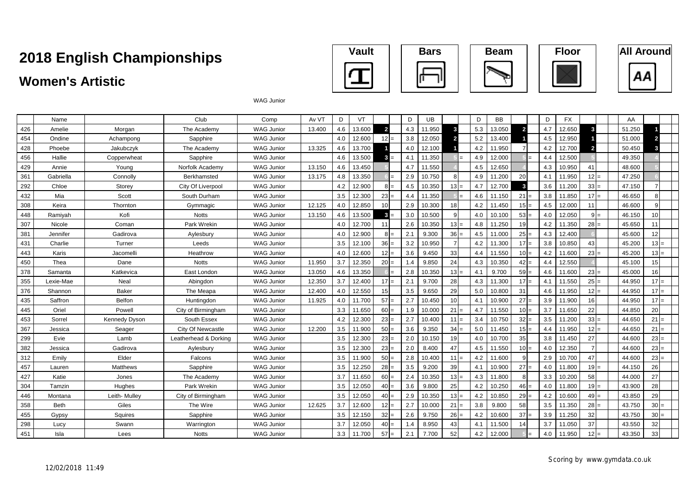## **Women's Artistic**









WAG Junior

|     | Name        |                      | Club                  | Comp              | Av VT  | D   | VT     |                | D   | UB     |                | D   | <b>BB</b> |                 | D                | <b>FX</b> |                | AA     |                 |  |
|-----|-------------|----------------------|-----------------------|-------------------|--------|-----|--------|----------------|-----|--------|----------------|-----|-----------|-----------------|------------------|-----------|----------------|--------|-----------------|--|
| 426 | Amelie      | Morgan               | The Academy           | <b>WAG Junior</b> | 13.400 | 4.6 | 13.600 | $\overline{2}$ | 4.3 | 11.950 | 3              | 5.3 | 13.050    | $\overline{2}$  | 4.7              | 12.650    | $\mathbf{3}$   | 51.250 |                 |  |
| 454 | Ondine      | Achampong            | Sapphire              | <b>WAG Junior</b> |        | 4.0 | 12.600 | $12 =$         | 3.8 | 12.050 | $\overline{2}$ | 5.2 | 13.400    |                 | 4.5              | 12.950    |                | 51.000 |                 |  |
| 428 | Phoebe      | Jakubczyk            | The Academy           | <b>WAG Junior</b> | 13.325 | 4.6 | 13.700 |                | 4.0 | 12.100 |                | 4.2 | 11.950    |                 | 4.2              | 12.700    | $\overline{2}$ | 50.450 |                 |  |
| 456 | Hallie      | Copperwheat          | Sapphire              | <b>WAG Junior</b> |        | 4.6 | 13.500 | 3<br>$=$       | 4.1 | 11.350 | $=$            | 4.9 | 12.000    |                 | 4.4              | 12.500    |                | 49.350 |                 |  |
| 429 | Annie       | Young                | Norfolk Academy       | <b>WAG Junior</b> | 13.150 | 4.6 | 13.450 |                | 4.7 | 11.550 |                | 4.5 | 12.650    |                 | 4.3              | 10.950    | 41             | 48.600 |                 |  |
| 361 | Gabriella   | Connolly             | Berkhamsted           | <b>WAG Junior</b> | 13.175 | 4.8 | 13.350 | $=$            | 2.9 | 10.750 |                | 4.9 | 11.200    | 20              | 4.1              | 11.950    | $12 =$         | 47.250 |                 |  |
| 292 | Chloe       | Storey               | City Of Liverpool     | <b>WAG Junior</b> |        | 4.2 | 12.900 | $8I=$          | 4.5 | 10.350 | $13 =$         | 4.7 | 12.700    | 3               | 3.6              | 11.200    | $33 =$         | 47.150 |                 |  |
| 432 | Mia         | Scott                | South Durham          | <b>WAG Junior</b> |        | 3.5 | 12.300 | 23<br>$=$      | 4.4 | 11.350 |                | 4.6 | 11.150    | 21              | 3.8              | 11.850    | $17 =$         | 46.650 |                 |  |
| 308 | Keira       | Thornton             | Gymmagic              | <b>WAG Junior</b> | 12.125 | 4.0 | 12.850 | 10             | 2.9 | 10.300 | 18             | 4.2 | 11.450    | 15              | 4.5              | 12.000    | 11             | 46.600 |                 |  |
| 448 | Ramivah     | Kofi                 | <b>Notts</b>          | WAG Junior        | 13.150 | 4.6 | 13.500 | 3              | 3.0 | 10.500 |                | 4.0 | 10.100    | 53              | 4.0              | 12.050    | 9<br>$=$       | 46.150 | 10 <sup>1</sup> |  |
| 307 | Nicole      | Coman                | Park Wrekin           | <b>WAG Junior</b> |        | 4.0 | 12.700 | 11             | 2.6 | 10.350 | $13 =$         | 4.8 | 11.250    | 19              | 4.2              | 11.350    | $28 =$         | 45.650 | 11              |  |
| 381 | Jennifer    | Gadirova             | Aylesbury             | <b>WAG Junior</b> |        | 4.0 | 12.900 | $8I=$          | 2.1 | 9.300  | $36 =$         | 4.5 | 11.000    | 25              | 4.3              | 12.400    |                | 45.600 | 12              |  |
| 431 | Charlie     | Turner               | Leeds                 | <b>WAG Junior</b> |        | 3.5 | 12.100 | 36             | 3.2 | 10.950 |                | 4.2 | 11.300    | 17              | 3.8              | 10.850    | 43             | 45.200 | $13 =$          |  |
| 443 | Karis       | Jacomelli            | Heathrow              | <b>WAG Junior</b> |        | 4.0 | 12.600 | 12             | 3.6 | 9.450  | 33             | 4.4 | 11.550    | 10 <sup>1</sup> | 4.2              | 11.600    | 23<br>$=$      | 45.200 | $13 =$          |  |
| 450 | Thea        | Dane                 | <b>Notts</b>          | <b>WAG Junior</b> | 11.950 | 3.7 | 12.350 | $20 =$         | 1.4 | 9.850  | 24             | 4.3 | 10.350    | 42              | 4.4              | 12.550    |                | 45.100 | 15              |  |
| 378 | Samanta     | Katkevica            | East London           | <b>WAG Junior</b> | 13.050 | 4.6 | 13.350 | $=$            | 2.8 | 10.350 | $13 =$         | 4.1 | 9.700     | 59:             | 4.6              | 11.600    | $23 =$         | 45.000 | 16              |  |
| 355 | Lexie-Mae   | Neal                 | Abingdon              | <b>WAG Junior</b> | 12.350 | 3.7 | 12.400 | $17 =$         | 2.1 | 9.700  | 28             | 4.3 | 11.300    | 17              | 4.1              | 11.550    | $25 =$         | 44.950 | $17 =$          |  |
| 376 | Shannon     | <b>Baker</b>         | The Meapa             | <b>WAG Junior</b> | 12.400 | 4.0 | 12.550 | 15             | 3.5 | 9.650  | 29             | 5.0 | 10.800    | 31              | 4.6              | 11.950    | 12<br>l=       | 44.950 | $17 =$          |  |
| 435 | Saffron     | <b>Belfon</b>        | Huntingdon            | <b>WAG Junior</b> | 11.925 | 4.0 | 11.700 | 57             | 2.7 | 10.450 | 10             | 4.1 | 10.900    | 27              | 3.9              | 11.900    | 16             | 44.950 | 17 <sup>1</sup> |  |
| 445 | Oriel       | Powell               | City of Birmingham    | <b>WAG Junior</b> |        | 3.3 | 11.650 | 60             | 1.9 | 10.000 | 21             | 4.7 | 11.550    | 10 <sup>1</sup> | 3.7              | 11.650    | 22             | 44.850 | 20              |  |
| 453 | Sorrel      | <b>Kennedy Dyson</b> | South Essex           | <b>WAG Junior</b> |        | 4.2 | 12.300 | 23             | 2.7 | 10.400 | 11             | 3.4 | 10.750    | 32              | 3.5              | 11.200    | 33             | 44.650 | $21$ :          |  |
| 367 | Jessica     | Seager               | City Of Newcastle     | <b>WAG Junior</b> | 12.200 | 3.5 | 11.900 | $50 =$         | 3.6 | 9.350  | $34 =$         | 5.0 | 11.450    | $15$ :          | 4.4              | 11.950    | 12<br>$=$      | 44.650 | 21              |  |
| 299 | Evie        | Lamb                 | Leatherhead & Dorking | <b>WAG Junior</b> |        | 3.5 | 12.300 | 23<br>$=$      | 2.0 | 10.150 | 19             | 4.0 | 10.700    | 35              | 3.8              | 11.450    | 27             | 44.600 | $23 =$          |  |
| 382 | Jessica     | Gadirova             | Aylesbury             | <b>WAG Junior</b> |        | 3.5 | 12.300 | 23             | 2.0 | 8.400  | 47             | 4.5 | 11.550    | 10:             | 4.0              | 12.350    | $\overline{7}$ | 44.600 | $23-$           |  |
| 312 | Emily       | Elder                | Falcons               | <b>WAG Junior</b> |        | 3.5 | 11.900 | 50             | 2.8 | 10.400 | 11             | 4.2 | 11.600    | q               | 2.9              | 10.700    | 47             | 44.600 | 23              |  |
| 457 | Lauren      | Matthews             | Sapphire              | <b>WAG Junior</b> |        | 3.5 | 12.250 | $28 =$         | 3.5 | 9.200  | 39             | 4.1 | 10.900    | 27              | 4.0              | 11.800    | $19 =$         | 44.150 | 26              |  |
| 427 | Katie       | Jones                | The Academy           | <b>WAG Junior</b> |        | 3.7 | 11.650 | $60 =$         | 2.4 | 10.350 | $13 =$         | 4.3 | 11.800    |                 | 3.3 <sub>2</sub> | 10.200    | 58             | 44.000 | 27              |  |
| 304 | Tamzin      | Hughes               | Park Wrekin           | <b>WAG Junior</b> |        | 3.5 | 12.050 | $40 =$         | 3.6 | 9.800  | 25             | 4.2 | 10.250    | $46 =$          | 4.0              | 11.800    | $19 =$         | 43.900 | 28              |  |
| 446 | Montana     | Leith- Mulley        | City of Birmingham    | <b>WAG Junior</b> |        | 3.5 | 12.050 | 40             | 2.9 | 10.350 | $13 =$         | 4.2 | 10.850    | 29              | 4.2              | 10.600    | 49<br>$=$      | 43.850 | 29              |  |
| 358 | <b>Beth</b> | Giles                | The Wire              | <b>WAG Junior</b> | 12.625 | 3.7 | 12.600 | 12<br>$=$      | 2.7 | 10.000 | 21             | 3.8 | 9.800     | 58              | 3.5              | 11.350    | $28 =$         | 43.750 | 30              |  |
| 455 | Gypsy       | Squires              | Sapphire              | <b>WAG Junior</b> |        | 3.5 | 12.150 | 32<br>$=$      | 2.6 | 9.750  | 26:            | 4.2 | 10.600    | 37              | 3.9              | 11.250    | 32             | 43.750 | 30:             |  |
| 298 | Lucy        | Swann                | Warrington            | <b>WAG Junior</b> |        | 3.7 | 12.050 | $40 =$         | 1.4 | 8.950  | 43             | 4.1 | 11.500    | 14              | 3.7              | 11.050    | 37             | 43.550 | 32              |  |
| 451 | Isla        | Lees                 | <b>Notts</b>          | <b>WAG Junior</b> |        | 3.3 | 11.700 | 57<br>$=$      | 2.1 | 7.700  | 52             | 4.2 | 12.000    |                 | 4.0              | 11.950    | $12 =$         | 43.350 | 33              |  |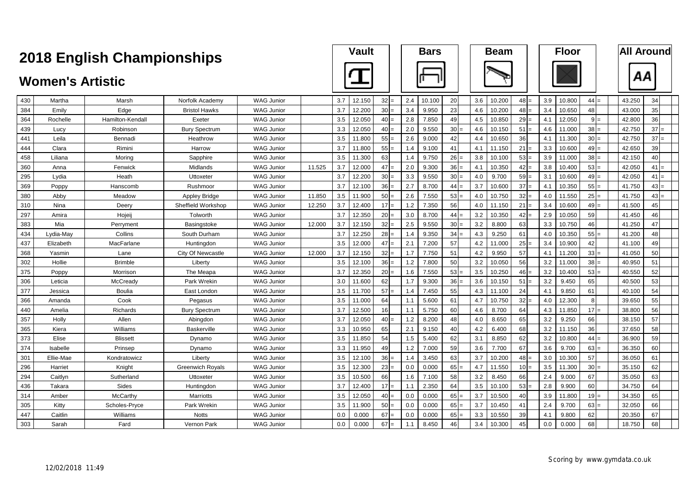|     |                         | <b>2018 English Championships</b> |                          |                   |        |     | <b>Vault</b> |           |     | <b>Bars</b> |                 |     | <b>Beam</b> |        |     | <b>Floor</b> |        |        | <b>All Around</b> |
|-----|-------------------------|-----------------------------------|--------------------------|-------------------|--------|-----|--------------|-----------|-----|-------------|-----------------|-----|-------------|--------|-----|--------------|--------|--------|-------------------|
|     | <b>Women's Artistic</b> |                                   |                          |                   |        |     |              |           |     |             |                 |     |             |        |     |              |        |        | ΑА                |
| 430 | Martha                  | Marsh                             | Norfolk Academy          | <b>WAG Junior</b> |        | 3.7 | 12.150       | 32<br>$=$ | 2.4 | 10.100      | 20              | 3.6 | 10.200      | $48 =$ | 3.9 | 10.800       | $44 =$ | 43.250 | 34                |
| 384 | Emily                   | Edge                              | <b>Bristol Hawks</b>     | <b>WAG Junior</b> |        | 3.7 | 12.200       | 30        | 3.4 | 9.950       | 23              | 4.6 | 10.200      | 48     | 3.4 | 10.650       | 48     | 43.000 | 35                |
| 364 | Rochelle                | Hamilton-Kendall                  | Exeter                   | <b>WAG Junior</b> |        | 3.5 | 12.050       | 40        | 2.8 | 7.850       | 49              | 4.5 | 10.850      | 29     | 4.1 | 12.050       | $9 =$  | 42.800 | 36                |
| 439 | Lucy                    | Robinson                          | <b>Bury Spectrum</b>     | <b>WAG Junior</b> |        | 3.3 | 12.050       | $40 =$    | 2.0 | 9.550       | 30 <sup>1</sup> | 4.6 | 10.150      | 51     | 4.6 | 11.000       | $38 =$ | 42.750 | 37 <sup>l</sup>   |
| 441 | Leila                   | Bennadi                           | Heathrow                 | <b>WAG Junior</b> |        | 3.5 | 11.800       | 55        | 2.6 | 9.000       | 42              | 4.4 | 10.650      | 36     | 4.1 | 11.300       | $30 =$ | 42.750 | $37 =$            |
| 444 | Clara                   | Rimini                            | Harrow                   | <b>WAG Junior</b> |        | 3.7 | 11.800       | 55        | 1.4 | 9.100       | 41              | 4.1 | 11.150      | 21     | 3.3 | 10.600       | $49 =$ | 42.650 | 39                |
| 458 | Liliana                 | Moring                            | Sapphire                 | <b>WAG Junior</b> |        | 3.5 | 11.300       | 63        | 1.4 | 9.750       | 26              | 3.8 | 10.100      | 53     | 3.9 | 11.000       | 38     | 42.150 | 40                |
| 360 | Anna                    | Fenwick                           | Midlands                 | <b>WAG Junior</b> | 11.525 | 3.7 | 12.000       | 47        | 2.0 | 9.300       | 36              | 4.1 | 10.350      | 42     | 3.8 | 10.400       | 53:    | 42.050 | 41                |
| 295 | Lydia                   | Heath                             | Uttoxeter                | <b>WAG Junior</b> |        | 3.7 | 12.200       | 30<br>$=$ | 3.3 | 9.550       | $30 =$          | 4.0 | 9.700       | $59 =$ | 3.1 | 10.600       | $49 =$ | 42.050 | 41                |
| 369 | Poppy                   | Hanscomb                          | Rushmoor                 | <b>WAG Junior</b> |        | 3.7 | 12.100       | 36        | 2.7 | 8.700       | 44              | 3.7 | 10.600      | 37     | 4.1 | 10.350       | 55     | 41.750 | 43                |
| 380 | Abby                    | Meadow                            | Appley Bridge            | <b>WAG Junior</b> | 11.850 | 3.5 | 11.900       | 50        | 2.6 | 7.550       | $53 =$          | 4.0 | 10.750      | 32     | 4.0 | 11.550       | $25 =$ | 41.750 | 43                |
| 310 | Nina                    | Deery                             | Sheffield Workshop       | <b>WAG Junior</b> | 12.250 | 3.7 | 12.400       | 17<br>$=$ | 1.2 | 7.350       | 56              | 4.0 | 11.150      | 21     | 3.4 | 10.600       | $49 =$ | 41.500 | 45                |
| 297 | Amira                   | Hojeij                            | Tolworth                 | <b>WAG Junior</b> |        | 3.7 | 12.350       | 20        | 3.0 | 8.700       | 44              | 3.2 | 10.350      | 42     | 2.9 | 10.050       | 59     | 41.450 | 46                |
| 383 | Mia                     | Perryment                         | Basingstoke              | <b>WAG Junior</b> | 12.000 | 3.7 | 12.150       | 32        | 2.5 | 9.550       | 30              | 3.2 | 8.800       | 63     | 3.3 | 10.750       | 46     | 41.250 | 47                |
| 434 | Lydia-May               | Collins                           | South Durham             | <b>WAG Junior</b> |        | 3.7 | 12.250       | 28        | 1.4 | 9.350       | 34              | 4.3 | 9.250       | 61     | 4.0 | 10.350       | 55     | 41.200 | 48                |
| 437 | Elizabeth               | MacFarlane                        | Huntingdon               | <b>WAG Junior</b> |        | 3.5 | 12.000       | 47        | 2.1 | 7.200       | 57              | 4.2 | 11.000      | 25     | 3.4 | 10.900       | 42     | 41.100 | 49                |
| 368 | Yasmin                  | Lane                              | <b>City Of Newcastle</b> | <b>WAG Junior</b> | 12.000 | 3.7 | 12.150       | 32        | 1.7 | 7.750       | 51              | 4.2 | 9.950       | 57     | 4.1 | 11.200       | 33:    | 41.050 | 50                |
| 302 | Hollie                  | <b>Brimble</b>                    | Liberty                  | <b>WAG Junior</b> |        | 3.5 | 12.100       | 36        | 1.2 | 7.800       | 50              | 3.2 | 10.050      | 56     | 3.2 | 11.000       | $38 -$ | 40.950 | 51                |
| 375 | Poppy                   | Morrison                          | The Meapa                | <b>WAG Junior</b> |        | 3.7 | 12.350       | 20        | 1.6 | 7.550       | 53              | 3.5 | 10.250      | 46     | 3.2 | 10.400       | 53     | 40.550 | 52                |
| 306 | Leticia                 | McCready                          | Park Wrekin              | <b>WAG Junior</b> |        | 3.0 | 11.600       | 62        | 1.7 | 9.300       | 36              | 3.6 | 10.150      | 51     | 3.2 | 9.450        | 65     | 40.500 | 53                |
| 377 | Jessica                 | <b>Boulia</b>                     | East London              | <b>WAG Junior</b> |        | 3.5 | 11.700       | 57        | 1.4 | 7.450       | 55              | 4.3 | 11.100      | 24     | 4.1 | 9.850        | 61     | 40.100 | 54                |
| 366 | Amanda                  | Cook                              | Pegasus                  | <b>WAG Junior</b> |        | 3.5 | 11.000       | 64        | 1.1 | 5.600       | 61              | 4.7 | 10.750      | 32     | 4.0 | 12.300       | 8      | 39.650 | 55                |
| 440 | Amelia                  | Richards                          | <b>Bury Spectrum</b>     | <b>WAG Junior</b> |        | 3.7 | 12.500       | 16        | 1.1 | 5.750       | 60              | 4.6 | 8.700       | 64     | 4.3 | 11.850       | $17 =$ | 38.800 | 56                |
| 357 | Holly                   | Allen                             | Abingdon                 | <b>WAG Junior</b> |        | 3.7 | 12.050       | 40        | 1.2 | 8.200       | 48              | 4.0 | 8.650       | 65     | 3.2 | 9.250        | 66     | 38.150 | 57                |
| 365 | Kiera                   | Williams                          | Baskerville              | <b>WAG Junior</b> |        | 3.3 | 10.950       | 65        | 2.1 | 9.150       | 40              | 4.2 | 6.400       | 68     | 3.2 | 11.150       | 36     | 37.650 | 58                |
| 373 | Elise                   | <b>Blissett</b>                   | Dynamo                   | <b>WAG Junior</b> |        | 3.5 | 11.850       | 54        | 1.5 | 5.400       | 62              | 3.1 | 8.850       | 62     | 3.2 | 10.800       | $44 =$ | 36.900 | 59                |
| 374 | Isabelle                | Prinsep                           | Dynamo                   | <b>WAG Junior</b> |        | 3.3 | 11.950       | 49        | 1.2 | 7.000       | 59              | 3.6 | 7.700       | 67     | 3.6 | 9.700        | $63 =$ | 36.350 | 60                |
| 301 | Ellie-Mae               | Kondratowicz                      | Liberty                  | <b>WAG Junior</b> |        | 3.5 | 12.100       | 36        | 1.4 | 3.450       | 63              | 3.7 | 10.200      | 48     | 3.0 | 10.300       | 57     | 36.050 | 61                |
| 296 | Harriet                 | Knight                            | <b>Greenwich Royals</b>  | <b>WAG Junior</b> |        | 3.5 | 12.300       | 23        | 0.0 | 0.000       | $65 =$          | 4.7 | 11.550      | $10 =$ | 3.5 | 11.300       | $30 =$ | 35.150 | 62                |
| 294 | Caitlyn                 | Sutherland                        | Uttoxeter                | <b>WAG Junior</b> |        | 3.5 | 10.500       | 66        | 1.6 | 7.100       | 58              | 3.2 | 8.450       | 66     | 2.4 | 9.000        | 67     | 35.050 | 63                |
| 436 | Takara                  | Sides                             | Huntingdon               | <b>WAG Junior</b> |        | 3.7 | 12.400       | 17        | 1.1 | 2.350       | 64              | 3.5 | 10.100      | 53     | 2.8 | 9.900        | 60     | 34.750 | 64                |
| 314 | Amber                   | McCarthy                          | Marriotts                | <b>WAG Junior</b> |        | 3.5 | 12.050       | 40<br>$=$ | 0.0 | 0.000       | 65              | 3.7 | 10.500      | 40     | 3.9 | 11.800       | $19 =$ | 34.350 | 65                |
| 305 | Kitty                   | Scholes-Pryce                     | Park Wrekin              | <b>WAG Junior</b> |        | 3.5 | 11.900       | 50        | 0.0 | 0.000       | $65 =$          | 3.7 | 10.450      | 41     | 2.4 | 9.700        | $63 =$ | 32.050 | 66                |
| 447 | Caitlin                 | Williams                          | <b>Notts</b>             | <b>WAG Junior</b> |        | 0.0 | 0.000        | 67        | 0.0 | 0.000       | 65              | 3.3 | 10.550      | 39     | 4.1 | 9.800        | 62     | 20.350 | 67                |
| 303 | Sarah                   | Fard                              | Vernon Park              | <b>WAG Junior</b> |        | 0.0 | 0.000        | 67<br>$=$ | 1.1 | 8.450       | 46              | 3.4 | 10.300      | 45     | 0.0 | 0.000        | 68     | 18.750 | 68                |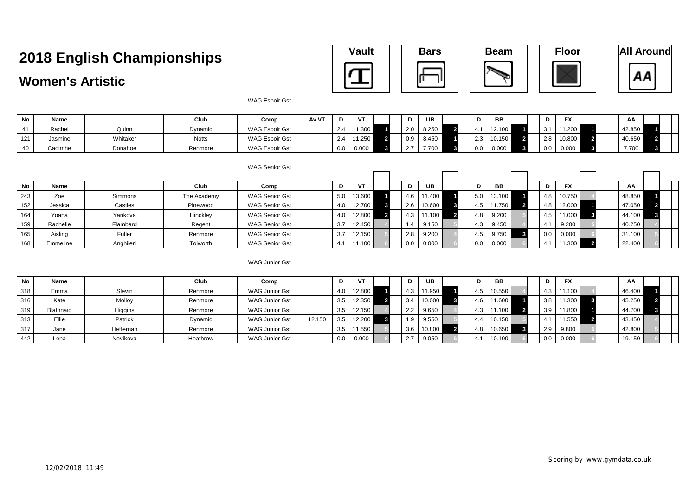### **Women's Artistic**











WAG Espoir Gst

| No  | <b>Name</b> |          | Club         | Comr                  | Av VT |     | $\overline{1}$                | D                         | UB                                          | D              | BB     |   | D     | <b>EV</b> |  | ΑA     |        |  |
|-----|-------------|----------|--------------|-----------------------|-------|-----|-------------------------------|---------------------------|---------------------------------------------|----------------|--------|---|-------|-----------|--|--------|--------|--|
|     | Racher      | Quinn    | Dynamic      | <b>WAG Espoir Gst</b> |       | 2.4 | $\overline{A}$ $\overline{A}$ | 2.0                       | 8.250                                       | $\overline{A}$ | 12.100 |   |       | 11.200    |  | 42.850 |        |  |
| 121 | Jasmine     | Whitaker | <b>Notts</b> | <b>WAG Espoir Gst</b> |       | 2.4 | .440E                         | 0.9                       | 8.450                                       | $2.3 \mid$     | 10.150 |   |       | 10.800    |  | 40.650 | $\sim$ |  |
| 40  | Caoimhe     | Donahoe  | Renmore      | <b>WAG Espoir Gst</b> |       | 0.0 | 0.000                         | $\sim$ $\sim$<br><u>.</u> | $\rightarrow$ $\rightarrow$ $\sim$<br>7.700 | 0.0            | 0.000  | 3 | - 0.0 | 0.000     |  | 7.700  |        |  |

|           |             |           |             | WAG Senior Gst        |     |        |     |            |        |  |              |           |  |     |            |  |        |  |  |
|-----------|-------------|-----------|-------------|-----------------------|-----|--------|-----|------------|--------|--|--------------|-----------|--|-----|------------|--|--------|--|--|
|           |             |           |             |                       |     |        |     |            |        |  |              |           |  |     |            |  |        |  |  |
| <b>No</b> | <b>Name</b> |           | Club        | Comp                  | D   | VT     | D   |            | UB     |  | ט            | <b>BB</b> |  |     | <b>FX</b>  |  | AA     |  |  |
| 243       | Zoe         | Simmons   | The Academy | <b>WAG Senior Gst</b> | 5.0 | 13.600 |     | 4.6 11.400 |        |  | 5.0          | 13.100    |  | 4.8 | 10.750     |  | 48.850 |  |  |
| 152       | Jessica     | Castles   | Pinewood    | <b>WAG Senior Gst</b> | 4.0 | 12.700 | 2.6 |            | 10.600 |  | -4.5         | 11.750    |  | 4.8 | 12.000     |  | 47.050 |  |  |
| 164       | Yoana       | Yankova   | Hinckley    | <b>WAG Senior Gst</b> | 4.0 | 12.800 | 4.3 | 11.100     |        |  | 9.200<br>4.8 |           |  |     | 4.5 11.000 |  | 44.100 |  |  |
| 159       | Rachelle    | Flambard  | Regent      | <b>WAG Senior Gst</b> | 3.7 | 12.450 | 1.4 |            | 9.150  |  | 9.450<br>4.3 |           |  | 4.1 | 9.200      |  | 40.250 |  |  |
| 165       | Aisling     | Fuller    | Renmore     | <b>WAG Senior Gst</b> | 3.7 | 12.150 | 2.8 |            | 9.200  |  | 9.750<br>4.5 |           |  | 0.0 | 0.000      |  | 31.100 |  |  |
| 168       | Emmeline    | Anghileri | Tolworth    | <b>WAG Senior Gst</b> |     | 11.100 |     | 0.0 0.000  |        |  | 0.0<br>0.000 |           |  | 4.1 | 11.300     |  | 22.400 |  |  |

WAG Junior Gst

| No  | Name      |           | Club     | Comp                  |        |     | $\mathbf{H}$ | D   | UB     | D   | ВB     | D   |       | <b>FX</b> |  | AA     |  |
|-----|-----------|-----------|----------|-----------------------|--------|-----|--------------|-----|--------|-----|--------|-----|-------|-----------|--|--------|--|
| 318 | Emma      | Slevin    | Renmore  | <b>WAG Junior Gst</b> |        | 4.0 | 12.800       | 4.3 | 11.950 | 4.5 | 10.550 | 4.3 |       | 11.100    |  | 46.400 |  |
| 316 | Kate      | Molloy    | Renmore  | <b>WAG Junior Gst</b> |        | 3.5 | 12.350       | 3.4 | 10.000 | 4.6 | 11.600 | 3.8 |       | 11.300    |  | 45.250 |  |
| 319 | Blathnaid | Higgins   | Renmore  | <b>WAG Junior Gst</b> |        | 3.5 | 12.150       | 2.2 | 9.650  | 4.3 | 11.100 |     |       | 11.800    |  | 44.700 |  |
| 313 | Ellie     | Patrick   | Dynamic  | <b>WAG Junior Gst</b> | 12.150 | 3.5 | 12.200       | 1.9 | 9.550  | 4.4 | 10.150 |     |       | 11.550    |  | 43.450 |  |
| 317 | Jane      | Heffernan | Renmore  | <b>WAG Junior Gst</b> |        | 3.5 | 11.550       | 3.6 | 10.800 | 4.8 | 10.650 | 2.9 | 9.800 |           |  | 42.800 |  |
| 442 | Lena      | Novikova  | Heathrow | <b>WAG Junior Gst</b> |        | 0.0 | 0.000        | 2.7 | 9.050  |     | 10.100 | 0.0 |       | 0.000     |  | 19.150 |  |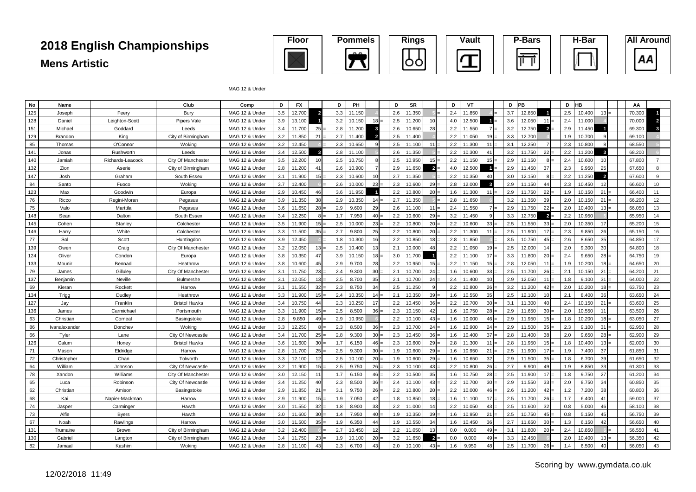

MAG 12 & Under

| No  | Name          |                  | Club                 | Comp           | D   | <b>FX</b> |                 | D   | PH     |                         | D   | <b>SR</b> |                | D   | VT     |              | D   | <b>IPB</b> |                 | D   | <b>HB</b> |                | AA     |    |
|-----|---------------|------------------|----------------------|----------------|-----|-----------|-----------------|-----|--------|-------------------------|-----|-----------|----------------|-----|--------|--------------|-----|------------|-----------------|-----|-----------|----------------|--------|----|
| 125 | Joseph        | Feery            | Bury                 | MAG 12 & Under | 3.5 | 12.700    |                 | 3.3 | 11.150 |                         | 2.6 | 11.350    |                | 2.4 | 11.850 |              | 3.7 | 12.850     |                 | 2.5 | 10.400    | 13             | 70.300 |    |
| 128 | Daniel        | Leighton-Scott   | <b>Pipers Vale</b>   | MAG 12 & Under | 3.9 | 13.100    |                 | 3.2 | 10.150 | 18                      | 2.5 | 11.200    | 10             | 4.0 | 12.500 |              | 3.6 | 12.050     | 11              | 2.4 | 11.000    |                | 70,000 |    |
| 151 | Michael       | Goddard          | Leeds                | MAG 12 & Under | 3.4 | 11.700    | 25              | 2.8 | 11.200 | ĸ                       | 2.6 | 10.650    | 28             | 2.2 | 11.550 |              | 3.2 | 12.750     | $\overline{2}$  | 2.9 | 11.450    |                | 69.300 |    |
| 129 | Brandon       | King             | City of Birmingham   | MAG 12 & Under | 3.2 | 11.850    | 21:             | 2.7 | 11.400 | $\overline{\mathbf{2}}$ | 2.5 | 11.400    |                | 2.2 | 11.050 | $19 =$       | 3.3 | 12.700     |                 | 1.9 | 10.700    |                | 69.100 |    |
| 85  | Thomas        | O'Connor         | Woking               | MAG 12 & Under | 3.2 | 12.450    |                 | 2.3 | 10.650 |                         | 2.5 | 11.100    | 11             | 2.2 | 11.300 | 11           | 3.1 | 12.250     | $\overline{7}$  | 2.3 | 10.800    |                | 68.550 |    |
| 141 | Jonas         | Rushworth        | Leeds                | MAG 12 & Under | 3.4 | 12.500    | -3              | 2.8 | 11.100 |                         | 2.6 | 11.350    |                | 2.2 | 10.300 | $\mathbf{A}$ | 3.2 | 11.750     | 22              | 2.2 | 11.200    | $\mathbf{3}$   | 68,200 |    |
| 140 | Jamiah        | Richards-Leacock | City Of Manchester   | MAG 12 & Under | 3.5 | 12.200    | 10              | 2.5 | 10.750 |                         | 2.5 | 10.950    | 15             | 2.2 | 11.150 | $15 =$       | 2.9 | 12.150     | $8 =$           | 2.4 | 10.600    | 10             | 67.800 |    |
| 132 | Zion          | Aserie           | City of Birmingham   | MAG 12 & Under | 2.8 | 11.200    | 41              | 2.6 | 10.900 |                         | 2.9 | 11.650    | $\overline{2}$ | 4.0 | 12.500 |              | 2.9 | 11.450     | 37              | 2.3 | 9.950     | 25             | 67.650 |    |
| 147 | Josh          | Graham           | South Essex          | MAG 12 & Under | 3.1 | 11.900    | $15 =$          | 2.3 | 10.600 | 10                      | 2.7 | 11.350    |                | 2.2 | 10.350 | 40           | 3.0 | 12.150     | -8              | 2.2 | 11.250    | $\overline{2}$ | 67.600 |    |
| 84  | Santo         | Fuoco            | Woking               | MAG 12 & Under | 3.7 | 12.400    |                 | 2.6 | 10.000 | 23                      | 2.3 | 10.600    | 29             | 2.8 | 12.000 | $\mathbf{3}$ | 2.9 | 11.150     | 44              | 2.3 | 10.450    | 12             | 66,600 | 10 |
| 123 | Max           | Goodwin          | Europa               | MAG 12 & Under | 2.9 | 10.450    | 46              | 3.6 | 11.950 |                         | 2.2 | 10.800    | 20             | 1.6 | 11.300 | 11           | 2.9 | 11.750     | 22              | 1.9 | 10.150    | 21             | 66.400 | 11 |
| 76  | Ricco         | Regini-Moran     | Pegasus              | MAG 12 & Under | 3.9 | 11.350    | 38              | 2.9 | 10.350 | 14                      | 2.7 | 11.350    |                | 2.8 | 11.650 |              | 3.2 | 11.350     | 39              | 2.0 | 10.150    | 21             | 66.200 | 12 |
| 75  | Valo          | Marttila         | Pegasus              | MAG 12 & Under | 3.6 | 11.650    | 28              | 2.9 | 9.600  | 29                      | 2.6 | 11.100    | 11             | 2.4 | 11.550 |              | 2.9 | 11.750     | 22              | 2.0 | 10.400    | $13 =$         | 66.050 | 13 |
| 148 | Sean          | Dalton           | South Essex          | MAG 12 & Under | 3.4 | 12.250    | 8               | 1.7 | 7.950  | 40                      | 2.2 | 10.600    | 29             | 3.2 | 11.450 |              | 3.3 | 12.750     | $\overline{2}$  | 2.2 | 10.950    |                | 65.950 |    |
| 145 | Cohen         | Stanley          | Colchester           | MAG 12 & Under | 3.5 | 11.900    | 15              | 2.5 | 10.000 | 23                      | 2.2 | 10.800    | 20             | 2.2 | 10.600 | 33           | 2.5 | 11.550     | 33              | 2.0 | 10.350    | 17             | 65.200 | 15 |
| 146 | Harry         | White            | Colchester           | MAG 12 & Under | 3.3 | 11.500    | 35              | 2.7 | 9.800  | 25                      | 2.2 | 10.800    | 20             | 2.2 | 11.300 | 11           | 2.5 | 11,900     | $17-$           | 2.3 | 9.850     | 26             | 65.150 | 16 |
| 77  | Sol           | Scott            | Huntingdon           | MAG 12 & Under | 3.9 | 12.450    |                 | 1.8 | 10.300 | 16                      | 2.2 | 10.850    | 18             | 2.8 | 11.850 |              | 3.5 | 10.750     | 45              | 2.6 | 8.650     | 35             | 64.850 | 17 |
| 139 | Owen          | Craig            | City Of Manchester   | MAG 12 & Under | 3.2 | 12.050    | 13              | 2.5 | 10.400 | 13                      | 2.1 | 10.000    | 48             | 2.2 | 11.050 | 19           | 2.5 | 12.000     | 14              | 2.0 | 9.300     | 30             | 64.800 | 18 |
| 124 | Oliver        | Condon           | Europa               | MAG 12 & Under | 3.8 | 10.350    | 47              | 3.9 | 10.150 | 18                      | 3.0 | 11.700    |                | 2.2 | 11.100 | $17 =$       | 3.3 | 11.800     | 20              | 2.4 | 9.650     | 28:            | 64.750 |    |
| 133 | Mounir        | Bennadi          | Heathrow             | MAG 12 & Under | 3.8 | 10.600    | 45              | 2.9 | 9.700  | 28                      | 2.2 | 10.950    | 15             | 2.2 | 11.150 | $15 =$       | 2.8 | 12.050     | $11 =$          | 1.9 | 10.200    | $18 =$         | 64.650 | 20 |
| 79  | James         | Gilluley         | City Of Manchester   | MAG 12 & Under | 3.1 | 11.750    | 23              | 2.4 | 9.300  | 30                      | 2.1 | 10.700    | 24             | 1.6 | 10.600 | 33           | 2.5 | 11.700     | $26 -$          | 2.1 | 10.150    | $21 =$         | 64.200 | 21 |
| 137 | Benjamin      | Neville          | <b>Bulmershe</b>     | MAG 12 & Under | 3.1 | 12.050    | $13 -$          | 2.5 | 8.700  | 35                      | 2.1 | 10.700    | 24             | 2.4 | 11.400 | 10           | 2.9 | 12.050     | $11 =$          | 1.8 | 9.100     | $31 =$         | 64.000 | 22 |
| 69  | Kieran        | Rockett          | Harrow               | MAG 12 & Under | 3.1 | 11.550    | 32:             | 2.3 | 8.750  | 34                      | 2.5 | 11.250    |                | 2.2 | 10.800 | 26           | 3.2 | 11.200     | $42 =$          | 2.0 | 10.200    | $18 =$         | 63.750 | 23 |
| 134 | Trigg         | Dudley           | Heathrow             | MAG 12 & Under | 3.3 | 11.900    | 15:             | 2.4 | 10.350 | 14                      | 2.1 | 10.350    | 39             | 1.6 | 10.550 | 35           | 2.5 | 12.100     | 10              | 2.1 | 8.400     | 36             | 63.650 | 24 |
| 127 | Jay           | Franklin         | <b>Bristol Hawks</b> | MAG 12 & Under | 3.4 | 10.750    | 44              | 2.3 | 10.250 | 17                      | 2.2 | 10.450    | 36             | 2.2 | 10.700 | 30           | 3.1 | 11,300     | 40              | 2.4 | 10.150    | 21             | 63.600 | 25 |
| 136 | James         | Carmichae        | Portsmouth           | MAG 12 & Under | 3.3 | 11.900    | 15              | 2.5 | 8.500  | 36                      | 2.3 | 10.150    | 42             | 1.6 | 10.750 | $28 =$       | 2.9 | 11.650     | 30              | 2.0 | 10.550    | 11             | 63.500 | 26 |
| 63  | Christian     | Corneal          | Basingstoke          | MAG 12 & Under | 2.8 | 9.850     | 49              | 2.9 | 10.950 |                         | 2.2 | 10.100    | 43             | 1.6 | 10.000 | $46 =$       | 2.9 | 11.950     | $15 =$          | 1.8 | 10.200    | $18 =$         | 63.050 | 27 |
| 86  | Ivanalexander | Donchev          | Woking               | MAG 12 & Under | 3.3 | 12.250    | $8 =$           | 2.3 | 8.500  | 36                      | 2.3 | 10.700    | 24             | 1.6 | 10.900 | $24 =$       | 2.9 | 11.500     | 35 <sub>5</sub> | 2.3 | 9.100     | $31 =$         | 62.950 | 28 |
| 66  | Tyler         | Lane             | City Of Newcastle    | MAG 12 & Under | 3.4 | 11.700    | 25              | 2.8 | 9.300  | 30                      | 2.3 | 10.450    | 36             | 1.6 | 10.400 | $37 =$       | 2.8 | 11.400     | 38              | 2.0 | 9.650     | 28             | 62.900 | 29 |
| 126 | Calum         | Honey            | <b>Bristol Hawks</b> | MAG 12 & Under | 3.6 | 11.600    | 30              | 1.7 | 6.150  | 46                      | 2.3 | 10.600    | 29             | 2.8 | 11.300 | $11 =$       | 2.8 | 11.950     | $15 =$          | 1.8 | 10.400    | 13             | 62.000 | 30 |
| 71  | Mason         | Eldridge         | Harrow               | MAG 12 & Under | 2.8 | 11.700    | 25              | 2.5 | 9.300  | 30                      | 1.9 | 10.600    | 29             | 1.6 | 10.950 | 21           | 2.5 | 11,900     | $17 =$          | 1.9 | 7.400     | 37             | 61.850 | 31 |
| 72  | Christopher   | Chan             | Tolworth             | MAG 12 & Under | 3.3 | 12.100    | 12              | 2.5 | 10.100 | 20                      | 1.9 | 10.600    | 29             | 1.6 | 10.650 | 32           | 2.9 | 11.500     | 35              | 1.8 | 6.700     | 39             | 61.650 | 32 |
| 64  | William       | Johnson          | City Of Newcastle    | MAG 12 & Under | 3.2 | 11.900    | 15 <sup>1</sup> | 2.5 | 9.750  | 26                      | 2.3 | 10.100    | 43             | 2.2 | 10.800 | 26           | 2.7 | 9.900      | 49              | 1.9 | 8.850     | 33             | 61.300 | 33 |
| 78  | Xandon        | Williams         | City Of Manchester   | MAG 12 & Under | 3.0 | 12.150    | 11              | 1.7 | 6.150  | 46                      | 2.2 | 10.500    | 35             | 1.6 | 10.750 | $28 =$       | 2.5 | 11.900     | 17              | 1.8 | 9.750     | 27             | 61.200 | 34 |
| 65  | Luca          | Robinson         | City Of Newcastle    | MAG 12 & Under | 3.4 | 11.250    | 40              | 2.3 | 8.500  | 36                      | 2.4 | 10.100    | 43             | 2.2 | 10.700 | 30           | 2.9 | 11.550     | 33              | 2.0 | 8.750     | 34             | 60.850 | 35 |
| 62  | Christian     | Amison           | Basingstoke          | MAG 12 & Under | 2.9 | 11.850    | 21              | 3.1 | 9.750  | 26                      | 2.2 | 10.800    | 20             | 2.2 | 10.000 | $46 =$       | 2.6 | 11.200     | 42              | 1.2 | 7.200     | 38             | 60.800 | 36 |
| 68  | Kai           | Napier-Mackman   | Harrow               | MAG 12 & Under | 2.9 | 11.900    | 15              | 1.9 | 7.050  | 42                      | 1.8 | 10.850    | 18             | 1.6 | 11.100 | 17L          | 2.5 | 11.700     | 26              | 1.7 | 6.400     | 41             | 59.000 | 37 |
| 74  | Jasper        | Carminger        | Hawth                | MAG 12 & Under | 3.0 | 11.550    | 32              | 1.8 | 8.900  | 33                      | 2.2 | 11.000    | 14             | 2.2 | 10.050 | 43           | 2.5 | 11.600     | 32              | 0.8 | 5.000     | 46             | 58.100 | 38 |
| 73  | Alfie         | <b>Byers</b>     | Hawth                | MAG 12 & Under | 3.0 | 11.600    | 30              | 1.4 | 7.950  | 40                      | 1.9 | 10.350    | 39             | 1.6 | 10.950 | 21           | 2.5 | 10.750     | 45              | 0.8 | 5.150     | 45             | 56.750 | 39 |
| 67  | Noah          | Rawlings         | Harrow               | MAG 12 & Under | 3.0 | 11.500    | 35:             | 1.9 | 6.350  | 44                      | 1.9 | 10.550    | 34             | 1.6 | 10.450 | 36           | 2.7 | 11.650     | 30 <sup>1</sup> | 1.3 | 6.150     | 42             | 56.650 | 40 |
| 131 | Trumaine      | Brown            | City of Birmingham   | MAG 12 & Under | 3.2 | 12,400    |                 | 2.7 | 10.450 | 12                      | 2.2 | 11.050    | 13             | 0.0 | 0.000  | 49           | 3.1 | 11,800     | 20              | 2.4 | 10.850    |                | 56.550 | 41 |
| 130 | Gabriel       | Langton          | City of Birmingham   | MAG 12 & Under | 3.4 | 11.750    | 23              | 1.9 | 10.100 | 20                      | 3.2 | 11.650    | $\overline{2}$ | 0.0 | 0.000  | 49           | 3.3 | 12.450     |                 | 2.0 | 10.400    | $13 =$         | 56.350 |    |
| 82  | Jamaal        | Kashim           | Woking               | MAG 12 & Under | 2.8 | 11.100    | 43              | 2.3 | 6.700  |                         | 2.0 | 10.100    | 43             | 1.6 | 9.950  |              | 2.5 | 11.700     | 26              | 1.4 | 6.500     | 40             | 56.050 |    |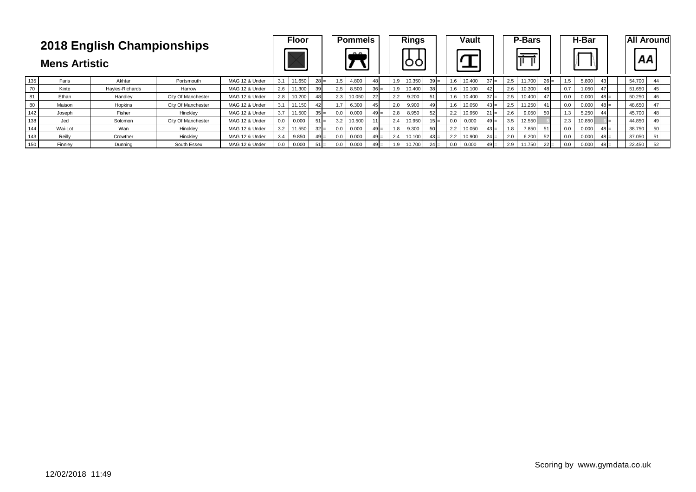|     | <b>Mens Artistic</b> | 2018 English Championships |                    |                |     | <b>Floor</b> |                 |     | <b>Pommels</b><br>$\mathbb{R}^n$ |                |     | <b>Rings</b> |                 |     | <b>Vault</b> |        |     | <b>P-Bars</b><br>π |        |     | H-Bar  |        | <b>All Around</b><br>АA |
|-----|----------------------|----------------------------|--------------------|----------------|-----|--------------|-----------------|-----|----------------------------------|----------------|-----|--------------|-----------------|-----|--------------|--------|-----|--------------------|--------|-----|--------|--------|-------------------------|
| 135 | Faris                | Akhtar                     | Portsmouth         | MAG 12 & Under | 3.1 | 11.650       | 28              |     | 4.800                            | -48            | 1.9 | 10.350       | $39 =$          | 1.6 | 10.400       | $37 =$ | 2.5 | 11.700             | $26 =$ | 1.5 | 5.800  | 54.700 | 44                      |
| 70  | Kinte                | Hayles-Richards            | Harrow             | MAG 12 & Under | 2.6 | 11.300       | 39              | 2.5 | 8.500                            | $36 =$         | 1.9 | 10.400       | 38 <sup>l</sup> | 1.6 | 10.100       | 42     | 2.6 | 10.300             | 48     | 0.7 | 1.050  | 51.650 | 45                      |
| 81  | Ethan                | Handley                    | City Of Manchester | MAG 12 & Under | 2.8 | 10.200       | 48              | 2.3 | 10.050                           | 22             | 2.2 | 9.200        |                 | 1.6 | 10.400       | $37 =$ | 2.5 | 10.400             | 47     | 0.0 | 0.000  | 50.250 |                         |
| 80  | Maison               | Hopkins                    | City Of Manchester | MAG 12 & Under | 3.1 | 11.150       | 42              |     | 6.300                            | 45             | 2.0 | 9.900        |                 | 1.6 | 10.050       | $43 =$ | 2.5 | 11.250             | 41     | 0.0 | 0.000  | 48.650 |                         |
| 142 | Joseph               | Fisher                     | Hinckley           | MAG 12 & Under | 3.7 | 11.500       | 35 <sub>1</sub> | 0.0 | 0.000                            | 4 <sup>c</sup> | 2.8 | 8.950        | 52              | 2.2 | 10.950       | $21 =$ | 2.6 | 9.050              | 50     |     | 5.250  | 45.700 |                         |
| 138 | Jed                  | Solomon                    | City Of Manchester | MAG 12 & Under | 0.0 | 0.000        | 51              | 3.2 | 10.500                           |                | 2.4 | 10.950       | $15 =$          | 0.0 | 0.000        | $49 =$ | 3.5 | 12.550             |        | 2.3 | 10.850 | 44.850 |                         |
| 144 | Wai-Lot              | Wan                        | Hincklev           | MAG 12 & Under | 3.2 | 11.550       | $32 =$          | 0.0 | 0.000                            | $49 =$         | 1.8 | 9.300        | 50              | 2.2 | 10.050       | $43 =$ |     | 7.850              | 51     | 0.0 | 0.000  | 38.750 | 50                      |
| 143 | Reilly               | Crowther                   | Hincklev           | MAG 12 & Under | 3.4 | 9.850        | $49 =$          | 0.0 | 0.000                            |                | 2.4 | 10.100       | $43 =$          | 2.2 | 10.900       | $24 =$ | 2.0 | 6.200              | 52     | 0.0 | 0.000  | 37.050 |                         |
| 150 | Finnley              | Dunning                    | South Essex        | MAG 12 & Under | 0.0 | 0.000        | $51 =$          | 0.0 | 0.000                            |                |     | 10.700       | $24 =$          | 0.0 | 0.000        | $49 =$ | 2.9 | 11.750             | $22 =$ | 0.0 | 0.000  | 22.450 | 52                      |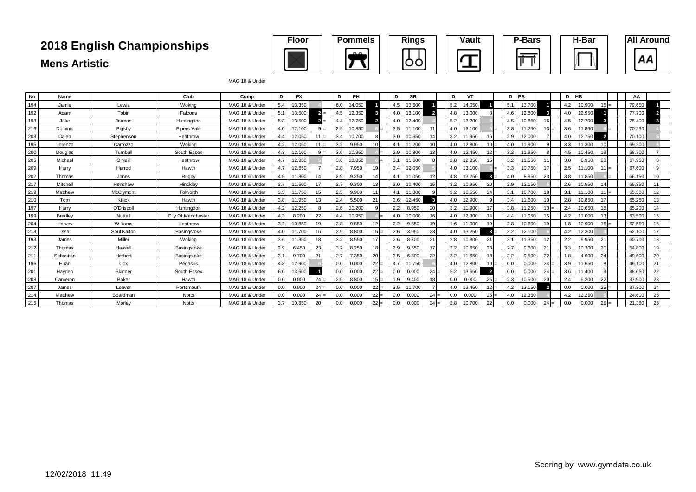

#### MAG 18 & Under

| No  | Name           |             | Club               | Comp           | D.  | <b>FX</b> |        | D   | PH     |                | D   | <b>SR</b> |        | D   | VT     |        | D   | <b>PB</b> |                | D   | <b>HB</b> |        | AA     |    |
|-----|----------------|-------------|--------------------|----------------|-----|-----------|--------|-----|--------|----------------|-----|-----------|--------|-----|--------|--------|-----|-----------|----------------|-----|-----------|--------|--------|----|
| 194 | Jamie          | Lewis       | Woking             | MAG 18 & Under | 5.4 | 13.350    |        | 6.0 | 14.050 |                | 4.5 | 13.600    |        | 5.2 | 14.050 |        | 5.1 | 13.700    |                | 4.2 | 10.900    |        | 79.650 |    |
| 192 | Adam           | Tobin       | Falcons            | MAG 18 & Under | 5.1 | 13.500    | $2 =$  | 4.5 | 12.350 |                | 4.0 | 13.100    |        | 4.8 | 13,000 |        | 4.6 | 12.800    |                | 4.0 | 12.950    |        | 77.700 |    |
| 198 | Jake           | Jarman      | Huntingdon         | MAG 18 & Under | 5.3 | 13.500    | $2 =$  | 4.4 | 12.750 |                | 4.0 | 12.400    |        | 5.2 | 13.200 |        | 4.5 | 10.850    |                | 4.5 | 12.700    |        | 75.400 |    |
| 216 | Dominic        | Bigsby      | Pipers Vale        | MAG 18 & Under | 4.0 | 12.100    | $9 =$  | 2.9 | 10.850 |                | 3.5 | 11.100    |        | 4.0 | 13.100 |        | 3.8 | 11.250    |                | 3.6 | 11.850    |        | 70.250 |    |
| 203 | Caleb          | Stephenson  | Heathrow           | MAG 18 & Under | 4.4 | 12.050    | $11 =$ | 3.4 | 10.700 |                | 3.0 | 10.650    | 14     | 3.2 | 11.950 |        | 2.9 | 12.000    |                | 4.0 | 12.750    |        | 70.100 |    |
| 195 | Lorenzo        | Carrozzo    | Wokina             | MAG 18 & Under | 4.2 | 12.050    | $11 =$ | 3.2 | 9.950  |                | 4.1 | 11.200    | 10     | 4.0 | 12,800 |        | 4.0 | 11.900    |                | 3.3 | 11.300    |        | 69.200 |    |
| 200 | Douglas        | Turnbull    | South Essex        | MAG 18 & Under | 4.3 | 12.100    | $9 =$  | 3.6 | 10.950 |                | 2.9 | 10.800    | 13     | 4.0 | 12.450 | $12 =$ | 3.2 | 11.950    |                | 4.5 | 10.450    |        | 68.700 |    |
| 205 | Michael        | O'Neill     | Heathrow           | MAG 18 & Under | 47  | 12.950    |        | 3.6 | 10.850 |                | 3.1 | 11.600    |        | 2.8 | 12.050 |        | 3.2 | 11.550    |                | 3.0 | 8.950     | 23     | 67.950 |    |
| 209 | Harry          | Harrod      | Hawth              | MAG 18 & Under | 4.7 | 12.650    |        | 2.8 | 7.950  |                | 3.4 | 12.050    |        | 4.0 | 13.100 |        | 3.3 | 10.750    |                | 2.5 | 11.100    |        | 67,600 |    |
| 202 | Thomas         | Jones       | Rugby              | MAG 18 & Under | 4.5 | 11.800    |        | 2.9 | 9.250  |                | 4.1 | 11.050    |        | 4.8 | 13.250 |        | 4.0 | 8.950     | 23             | 3.8 | 11.850    |        | 66.150 |    |
| 217 | Mitchell       | Henshaw     | Hinckley           | MAG 18 & Under | 3.7 | 11.600    |        | 2.7 | 9.300  | 1 <sup>2</sup> | 3.0 | 10.400    | 15     | 3.2 | 10.950 | 20     | 2.9 | 12.150    |                | 2.6 | 10.950    |        | 65.350 |    |
| 219 | Matthew        | McClymont   | Tolworth           | MAG 18 & Under | 3.5 | 11.750    | 15     | 2.5 | 9.900  |                | 4.1 | 11.300    |        | 3.2 | 10.550 | 24     | 3.1 | 10.700    |                | 3.2 | 11.100    | $11 =$ | 65.300 |    |
| 210 | Tom            | Killick     | Hawth              | MAG 18 & Under | 3.8 | 11.950    | 13     | 2.4 | 5.500  | 21             | 3.6 | 12.450    |        | 4.0 | 12.900 |        | 3.4 | 11.600    |                | 2.8 | 10.850    |        | 65.250 |    |
| 197 | Harry          | O'Driscoll  | Huntingdon         | MAG 18 & Under | 4.2 | 12.250    |        | 2.6 | 10.200 |                | 2.2 | 8.950     | 20     | 3.2 | 11.900 |        | 3.8 | 11.250    |                | 2.4 | 10.650    |        | 65.200 |    |
| 199 | <b>Bradlev</b> | Nuttall     | City Of Manchester | MAG 18 & Under | 4.3 | 8.200     | 22     | 4.4 | 10.950 |                | 4.0 | 10.000    | 16     | 4.0 | 12.300 |        | 4.4 | 11.050    |                | 4.2 | 11.000    |        | 63.500 |    |
| 204 | Harvev         | Williams    | Heathrow           | MAG 18 & Under | 3.2 | 10.850    | 19     | 2.8 | 9.850  |                | 2.2 | 9.350     | 19     | 1.6 | 11.000 |        | 2.8 | 10.600    |                | 1.8 | 10.900    |        | 62.550 |    |
| 213 | Issa           | Soul Kalfon | Basingstoke        | MAG 18 & Under | 4.0 | 11.700    |        | 2.9 | 8.800  |                | 2.6 | 3.950     | 23     | 4.0 | 13.250 |        | 3.2 | 12.100    |                | 4.2 | 12.300    |        | 62.100 |    |
| 193 | James          | Miller      | Wokina             | MAG 18 & Under | 3.6 | 11.350    |        | 3.2 | 8.550  |                | 2.6 | 8.700     | 21     | 2.8 | 10.800 | 21     | 3.1 | 11.350    | 12             | 2.2 | 9.950     |        | 60.700 |    |
| 212 | Thomas         | Hassell     | Basingstoke        | MAG 18 & Under | 2.9 | 6.450     | 23     | 3.2 | 8.250  | 1s             | 2.9 | 9.550     | 17     | 2.2 | 10.650 | 23     | 2.7 | 9.600     | 21             | 3.3 | 10.300    | 20     | 54.800 |    |
| 211 | Sebastian      | Herbert     | Basingstoke        | MAG 18 & Under | 3.1 | 9.700     | 21     | 2.7 | 7.350  | 20             | 3.5 | 6.800     | 22     | 3.2 | 11.650 |        | 3.2 | 9.500     | 22             | 1.8 | 4.600     | 24     | 49.600 | 20 |
| 196 | Euan           | Cox         | Pegasus            | MAG 18 & Under | 4.8 | 12.900    |        | 0.0 | 0.000  | 22             | 4.7 | 11.750    |        | 4.0 | 12,800 |        | 0.0 | 0.000     |                | 3.9 | 11.650    |        | 49.100 | 21 |
| 201 | Havden         | Skinner     | South Essex        | MAG 18 & Under | 6.0 | 13.600    |        | 0.0 | 0.000  | 22             | 0.0 | 0.000     | $24 =$ | 5.2 | 13.650 |        | 0.0 | 0.000     | 24             | 3.6 | 11.400    |        | 38.650 | 22 |
| 208 | Cameron        | Baker       | Hawth              | MAG 18 & Under | 0.0 | 0.000     | $24 =$ | 2.5 | 8.800  |                | 1.9 | 9.400     | 18     | 0.0 | 0.000  | 25     | 2.3 | 10.500    | 20             | 2.4 | 9.200     | 22     | 37.900 | 23 |
| 207 | James          | Leaver      | Portsmouth         | MAG 18 & Under | 0.0 | 0.000     | $24 =$ | 0.0 | 0.000  | 22             | 3.5 | 11.700    |        | 4.0 | 12.450 |        | 4.2 | 13.150    | $\overline{2}$ | 0.0 | 0.000     | $25 =$ | 37.300 | 24 |
| 214 | Matthew        | Boardman    | Notts              | MAG 18 & Under | 0.0 | 0.000     | $24 =$ | 0.0 | 0.000  | 22             | 0.0 | 0.000     | $24 =$ | 0.0 | 0.000  | 25     | 4.0 | 12.350    |                | 4.2 | 12.250    |        | 24.600 | 25 |
| 215 | Thomas         | Morley      | <b>Notts</b>       | MAG 18 & Under | 3.7 | 10.650    | 20     | 0.0 | 0.000  | 22             | 0.0 | 0.000     | 24     | 2.8 | 10.700 | 22     | 0.0 | 0.000     |                | 0.0 | 0.000     | 25     | 21.350 | 26 |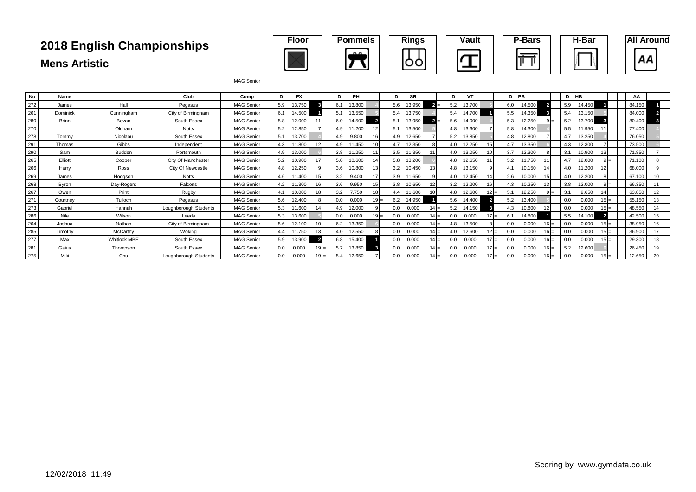

| No  | Name         |                     | Club                  | Comp              | D   | FX     | D   | PH     |    | D   | <b>SR</b> |        | D   | VT     | D   | <b>PB</b> |         |     | HB     | ΑА     |    |
|-----|--------------|---------------------|-----------------------|-------------------|-----|--------|-----|--------|----|-----|-----------|--------|-----|--------|-----|-----------|---------|-----|--------|--------|----|
| 272 | James        | Hall                | Pegasus               | <b>MAG Senior</b> | 5.9 | 13.750 | 6.1 | 13.800 |    | 5.6 | 13.950    |        | 5.2 | 13.700 | 6.0 | 14.500    |         | 5.9 | 14.450 | 84.150 |    |
| 261 | Dominick     | Cunningham          | City of Birmingham    | <b>MAG Senior</b> | 6.1 | 14.500 | 5.1 | 13.550 |    | 5.4 | 13.750    |        | 5.4 | 14.700 | 5.5 | 14.350    |         |     | 13.150 | 84.000 |    |
| 280 | <b>Brinn</b> | Bevan               | South Essex           | <b>MAG Senior</b> | 5.8 | 12.000 | 6.0 | 14.500 |    | 5.1 | 13.950    |        | 5.6 | 14.000 | 5.3 | 12.250    |         | 5.2 | 13.700 | 80.400 |    |
| 270 |              | Oldham              | <b>Notts</b>          | <b>MAG Senior</b> | 5.2 | 12.850 | 4.9 | 11.200 | 12 | 5.1 | 13.500    |        | 4.8 | 13.600 | 5.8 | 14.300    |         | 5.5 | 11.950 | 77.400 |    |
| 278 | Tommy        | Nicolaou            | South Essex           | <b>MAG Senior</b> | 5.1 | 13.700 | 4.9 | 9.800  | 16 | 4.9 | 12.650    |        | 5.2 | 13.850 | 4.8 | 12.800    |         | 4.7 | 13.250 | 76.050 |    |
| 291 | Thomas       | Gibbs               | Independent           | <b>MAG Senior</b> | 4.3 | 11.800 | 4.9 | 11.450 |    | 47  | 12.350    |        | 4.0 | 12.250 | 4.7 | 13.350    |         | 4.3 | 12.300 | 73.500 |    |
| 290 | Sam          | Budden              | Portsmouth            | <b>MAG Senior</b> | 4.9 | 13.000 | 3.8 | 11.250 |    | 3.5 | 11.350    |        | 4.0 | 13.050 | 3.7 | 12.300    |         | 3.1 | 10.900 | 71.850 |    |
| 265 | Elliott      | Cooper              | City Of Manchester    | <b>MAG Senior</b> | 5.2 | 10.900 | 5.0 | 10.600 | 14 | 5.8 | 13.200    |        | 4.8 | 12.650 | 5.2 | 11.750    |         | 4.7 | 12.000 | 71.100 |    |
| 266 | Harry        | Ross                | City Of Newcastle     | <b>MAG Senior</b> | 4.8 | 12.250 | 3.6 | 10.800 |    | 3.2 | 10.450    | 13     | 4.8 | 13.150 | 4.1 | 10.150    |         | 4.0 | 11.200 | 68,000 |    |
| 269 | James        | Hodgson             | <b>Notts</b>          | <b>MAG Senior</b> | 4.6 | 1.400  | 3.2 | 9.400  | 17 | 3.9 | 11.650    |        | 4.0 | 12.450 | 2.6 | 10.000    |         | 4.0 | 12.200 | 67.100 |    |
| 268 | Byron        | Day-Rogers          | Falcons               | <b>MAG Senior</b> | 4.2 | 1.300  | 3.6 | 9.950  | 15 | 3.8 | 10.650    |        | 3.2 | 12.200 | 4.3 | 10.250    |         | 3.8 | 12.000 | 66.350 |    |
| 267 | Owen         | Print               | Rugby                 | <b>MAG Senior</b> | 4.1 | 10.000 | 3.2 | 7.750  | 18 | 4.4 | 11.600    | 10     | 4.8 | 12.600 | 5.1 | 12.250    | - Ji    | 3.1 | 9.650  | 63.850 | 12 |
| 271 | Courtney     | Tulloch             | Pegasus               | <b>MAG Senior</b> | 5.6 | 12.400 | 0.0 | 0.000  |    | 6.2 | 14.950    |        | 5.6 | 14.400 | 5.2 | 13.400    |         | 0.0 | 0.000  | 55.150 | 13 |
| 273 | Gabriel      | Hannah              | Loughborough Students | <b>MAG Senior</b> | 5.3 | 1.600  | 4.9 | 12.000 |    | 0.0 | 0.000     | $14 =$ | 5.2 | 14.150 | 4.3 | 0.800     |         | 0.0 | 0.000  | 48.550 |    |
| 286 | Nile         | Wilson              | Leeds                 | <b>MAG Senior</b> | 5.3 | 13.600 | 0.0 | 0.000  |    | 0.0 | 0.000     |        | 0.f | 0.000  | 6.1 | 14.800    |         | 5.5 | 14.100 | 42.500 |    |
| 264 | Joshua       | Nathan              | City of Birmingham    | <b>MAG Senior</b> | 5.6 | 12.100 | 6.2 | 13.350 |    | 0.0 | 0.000     | $14 =$ | 4.8 | 13.500 | 0.0 | 0.000     |         | 0.0 | 0.000  | 38.950 |    |
| 285 | Timothy      | McCarthy            | Wokina                | <b>MAG Senior</b> | 4.4 | 11.750 | 4.0 | 12.550 |    | 0.0 | 0.000     | $14 =$ |     | 12.600 | 0.0 | 0.000     |         | 0.0 | 0.000  | 36.900 | 17 |
| 277 | Max          | <b>Whitlock MBE</b> | South Essex           | <b>MAG Senior</b> | 5.9 | 13.900 | 6.8 | 15.400 |    | 0.0 | 0.000     | $14 =$ | 0.0 | 0.000  | 0.0 | 0.000     | l 6 I = | 0.0 | 0.000  | 29.300 |    |
| 281 | Gaius        | Thompson            | South Essex           | <b>MAG Senior</b> | 0.0 | 0.000  | 5.7 | 13.850 |    | 0.0 | 0.000     | $14 =$ | 0.0 | 0.000  | 0.0 | 0.000     |         | 5.2 | 12.600 | 26.450 |    |
| 275 | Miki         | Chu                 | Loughborough Students | <b>MAG Senior</b> | 0.0 | 0.00C  | 5.4 | 12.650 |    | 0.0 | 0.000     |        | 0.0 | 0.000  | 0.0 | 0.00(     |         |     | 0.000  | 12.650 | 20 |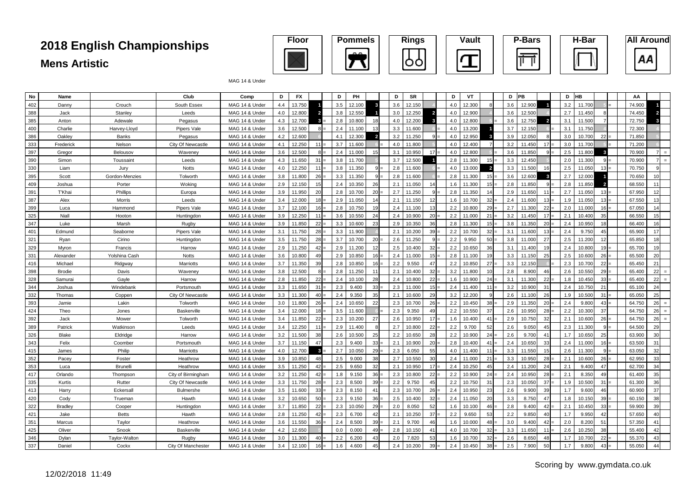

MAG 14 & Under

| No  | Name           |                 | Club               | Comp           | D   | <b>FX</b> |                 | D   | PH     |                | D   | <b>SR</b> |                          | D   | VT     |                 | D   | PB     |                         | D   | HВ     |                          | AA     |                |
|-----|----------------|-----------------|--------------------|----------------|-----|-----------|-----------------|-----|--------|----------------|-----|-----------|--------------------------|-----|--------|-----------------|-----|--------|-------------------------|-----|--------|--------------------------|--------|----------------|
| 402 | Danny          | Crouch          | South Essex        | MAG 14 & Under | 4.4 | 13.750    |                 | 3.5 | 12.100 | -3             | 3.6 | 12.150    |                          | 4.0 | 12.300 |                 | 3.6 | 12,900 |                         | 3.2 | 11.700 |                          | 74.900 |                |
| 388 | Jack           | Stanley         | Leeds              | MAG 14 & Under | 4.0 | 12.800    |                 | 3.8 | 12.550 |                | 3.0 | 12.250    | $\overline{\phantom{a}}$ | 4.0 | 12.900 |                 | 3.6 | 12.500 |                         | 2.7 | 11.450 |                          | 74.450 |                |
| 385 | Anton          | Adewale         | Pegasus            | MAG 14 & Under | 4.3 | 12.700    | 3               | 2.8 | 10.800 | 18             | 4.0 | 12.200    | $\mathbf{3}$             | 4.0 | 12.800 |                 | 3.6 | 12.750 | $\overline{2}$          | 3.1 | 11.500 |                          | 72.750 |                |
| 400 | Charlie        | Harvey-Lloyd    | Pipers Vale        | MAG 14 & Under | 3.6 | 12.500    | 8 <sup>1</sup>  | 2.4 | 11.100 | 13             | 3.3 | 11.600    |                          | 4.0 | 13.200 |                 | 3.7 | 12.15  |                         | 3.1 | 11.750 |                          | 72.300 |                |
| 386 | Oakley         | <b>Banks</b>    | Pegasus            | MAG 14 & Under | 4.2 | 12,600    |                 | 4.1 | 12.300 | $\overline{2}$ | 3.2 | 11.250    | q                        | 4.0 | 12.950 |                 | 3.9 | 12.050 | - 8                     | 3.0 | 10.700 | 22                       | 71.850 |                |
| 333 | Frederick      | Nelson          | City Of Newcastle  | MAG 14 & Under | 4.1 | 12.250    | $11 =$          | 3.7 | 11.600 |                | 4.0 | 11.800    |                          | 4.0 | 12.400 |                 | 3.2 | 11.45  | 17                      | 3.0 | 11.700 |                          | 71.200 |                |
| 397 | Gregor         | Belousov        | Waveney            | MAG 14 & Under | 3.6 | 12.500    | $8 =$           | 2.4 | 11.000 | 15             | 3.1 | 10.950    | 17                       | 4.0 | 12,800 |                 | 3.6 | 11.850 | <b>q</b>                | 2.5 | 11,800 | $\overline{\mathbf{3}}$  | 70,900 |                |
| 390 | Simon          | Toussaint       | Leeds              | MAG 14 & Under | 4.3 | 11.650    | 31              | 3.8 | 11.700 |                | 3.7 | 12.500    | $\overline{\phantom{0}}$ | 2.8 | 11.300 | 15 <sub>l</sub> | 3.3 | 12.45  |                         | 2.0 | 11.300 | 9                        | 70.900 |                |
| 330 | Liam           | Jury            | <b>Notts</b>       | MAG 14 & Under | 4.0 | 12.250    | 11              | 3.8 | 11.350 |                | 2.8 | 11.600    |                          | 4.0 | 13.000 |                 | 3.3 | 11.500 | 16                      | 2.5 | 11.050 | 13                       | 70.750 |                |
| 395 | Scott          | Gordon-Menzies  | Tolworth           | MAG 14 & Under | 3.8 | 11.800    | 26              | 3.3 | 11.350 |                | 2.8 | 11.600    |                          | 2.8 | 11.300 | $15 =$          | 3.6 | 12.600 | $\overline{\mathbf{3}}$ | 2.7 | 12.000 |                          | 70.650 | 10             |
| 409 | Joshua         | Porter          | Woking             | MAG 14 & Under | 2.9 | 12.150    | 15              | 2.4 | 10.350 | 26             | 2.1 | 11.050    | 14                       | 1.6 | 11.300 | 15 <sub>1</sub> | 2.8 | 11.850 | c                       | 2.8 | 11.850 | $\overline{\phantom{a}}$ | 68.550 |                |
| 391 | <b>T'Khai</b>  | Phillips        | Europa             | MAG 14 & Under | 3.9 | 11.950    | 20              | 2.8 | 10.700 | 20             | 2.7 | 11.250    | $\mathbf{Q}$             | 2.8 | 11.350 | 14              | 2.9 | 11.650 | 11                      | 2.7 | 11.050 | 13                       | 67.950 | 12             |
| 387 | Alex           | <b>Morris</b>   | Leeds              | MAG 14 & Under | 3.4 | 12.000    | 18              | 2.9 | 11.050 | 14             | 2.1 | 11.150    | 12                       | 1.6 | 10.700 | 32              | 2.4 | 11.600 | 13                      | 1.9 | 11.050 | 13 <sup>1</sup>          | 67.550 |                |
| 399 | Luca           | Hammond         | <b>Pipers Vale</b> | MAG 14 & Under | 3.7 | 12.100    | $16 =$          | 2.8 | 10.750 | 19             | 2.4 | 11.100    | 13                       | 2.2 | 10.800 | $29 =$          | 2.7 | 11.300 | 22                      | 2.0 | 11.000 | $16 =$                   | 67.050 | 14             |
| 325 | Niall          | Hooton          | Huntingdon         | MAG 14 & Under | 3.9 | 12.250    | 11              | 3.6 | 10.550 | 24             | 2.4 | 10.900    | 20                       | 2.2 | 11.000 | 21              | 3.2 | 11.45  | 17                      | 2.1 | 10.400 | 35                       | 66.550 | 15             |
| 347 | Luke           | Marsh           | Rugby              | MAG 14 & Under | 3.9 | 11.850    | 22              | 3.3 | 10.600 | 23             | 2.9 | 10.350    | 36                       | 2.8 | 11.300 | 15 <sup>1</sup> | 3.8 | 11.350 | 20                      | 2.4 | 10.950 | 18                       | 66.400 |                |
| 401 | Edmund         | Seaborne        | Pipers Vale        | MAG 14 & Under | 3.1 | 11.750    | 28              | 3.3 | 11.900 |                | 2.1 | 10.200    | 39 <sup>1</sup>          | 2.2 | 10.700 | $32 =$          | 3.1 | 11.600 | 13                      | 2.4 | 9.750  | 45                       | 65.900 | 17             |
| 321 | Ryan           | Cirino          | Huntingdon         | MAG 14 & Under | 3.5 | 11.750    | 28              | 3.7 | 10.700 | 20             | 2.6 | 11.250    | 9                        | 2.2 | 9.950  | 50              | 3.8 | 11.000 | 27                      | 2.5 | 11.200 | 12                       | 65.850 | 18             |
| 329 | Mvron          | Francis         | Harrow             | MAG 14 & Under | 2.9 | 11.250    | 42              | 2.9 | 11.200 | 12             | 2.5 | 10.400    | 32                       | 2.2 | 10.650 | 36              | 3.1 | 11.400 | 19                      | 2.4 | 10.800 | 19 <sup>1</sup>          | 65.700 |                |
| 331 | Alexander      | Yolshina Cash   | Notts              | MAG 14 & Under | 3.6 | 10.800    | 49              | 2.9 | 10.850 | 16             | 2.4 | 11.000    | 15                       | 2.8 | 11.100 | 19              | 3.3 | 11.15  | 25                      | 2.5 | 10.600 | $26 =$                   | 65.500 | 20             |
| 416 | Michael        | Ridgway         | <b>Marriotts</b>   | MAG 14 & Under | 3.7 | 11.350    | 39              | 2.8 | 10.850 | 16             | 2.2 | 9.550     | 47                       | 2.2 | 10.850 | 27              | 3.3 | 12.15  |                         | 2.3 | 10.700 | 22                       | 65.450 | 21             |
| 398 | Brodie         | Davis           | Waveney            | MAG 14 & Under | 3.8 | 12.500    | $8 =$           | 2.8 | 11.250 | 11             | 2.1 | 10.400    | 32                       | 3.2 | 11.800 | 10 <sup>1</sup> | 2.8 | 8.900  | 46                      | 2.6 | 10.550 | 29                       | 65.400 | 22<br>$\equiv$ |
| 328 | Samurai        | Gayle           | Harrow             | MAG 14 & Under | 2.8 | 11.850    | $22 =$          | 2.4 | 10.100 | 28             | 2.4 | 10.800    | 22                       | 1.6 | 10.900 | $24 =$          | 3.1 | 11.300 | 22                      | 1.8 | 10.450 | 33 <sub>1</sub>          | 65.400 | 22<br>$\equiv$ |
| 344 | Joshua         | Windebank       | Portsmouth         | MAG 14 & Under | 3.3 | 11.650    | $31 =$          | 2.3 | 9.400  | 33             | 2.3 | 11.000    | 15                       | 2.4 | 11.400 | $11 =$          | 3.2 | 10.900 | 31                      | 2.4 | 10.750 | 21                       | 65.100 | 24             |
| 332 | Thomas         | Copper          | City Of Newcastle  | MAG 14 & Under | 3.3 | 11.300    | $40 -$          | 2.4 | 9.350  | 35             | 2.1 | 10.600    | 29                       | 3.2 | 12.200 | a               | 2.6 | 11.10  | 26                      | 1.9 | 10.500 | 31                       | 65.050 | 25             |
| 393 | Jamie          | Lakin           | Tolworth           | MAG 14 & Under | 3.0 | 11.800    | $26 =$          | 2.4 | 10.650 | 22             | 2.3 | 10.700    | 26                       | 2.2 | 10.450 | 38              | 2.9 | 11.350 | 20                      | 2.4 | 9.800  | 43                       | 64.750 | 26<br>$=$      |
| 424 | Theo           | Jones           | Baskerville        | MAG 14 & Under | 3.4 | 12.000    | $18 -$          | 3.5 | 11.600 |                | 2.3 | 9.350     | 49                       | 2.2 | 10.550 | 37              | 2.6 | 10.95  | 28                      | 2.2 | 10.300 | 37                       | 64.750 | 26<br>$\equiv$ |
| 392 | Jack           | Mower           | Tolworth           | MAG 14 & Under | 3.4 | 11.850    | $22 =$          | 2.3 | 10.200 | 27             | 2.6 | 10.950    | 17                       | 1.6 | 10.400 | $41 =$          | 2.9 | 10.75  | 32                      | 2.1 | 10.600 | $26 =$                   | 64.750 | 26<br>$=$      |
| 389 | Patrick        | Watkinson       | Leeds              | MAG 14 & Under | 3.4 | 12.250    | 11              | 2.9 | 11.400 |                | 2.7 | 10.800    | 22                       | 2.2 | 9.700  | 52              | 2.6 | 9.05   | 45                      | 2.3 | 11.300 | 9                        | 64.500 | 29             |
| 326 | <b>Blake</b>   | Eldridge        | Harrow             | MAG 14 & Under | 3.2 | 11.500    | 38              | 2.6 | 10.500 | 25             | 2.2 | 10.650    | 28                       | 2.2 | 10.900 | 24:             | 2.6 | 9.700  | 41                      | 1.7 | 10.650 | 25                       | 63.900 | 30             |
| 343 | Felix          | Coomber         | Portsmouth         | MAG 14 & Under | 3.7 | 11.150    | 47              | 2.3 | 9.400  | 33             | 2.1 | 10.900    | 20                       | 2.8 | 10.400 | $41 =$          | 2.4 | 10.650 | 33                      | 2.4 | 11.000 | 16 E                     | 63.500 | 31             |
| 415 | James          | Philip          | Marriotts          | MAG 14 & Under | 4.0 | 12.700    | $\mathbf{3}$    | 2.7 | 10.050 | 29             | 2.3 | 6.050     | 55                       | 4.0 | 11.400 | $11 =$          | 3.3 | 11.550 | 15                      | 2.6 | 11.300 | $\mathbf{Q}$             | 63.050 | 32             |
| 352 | Pacev          | Foster          | Heathrow           | MAG 14 & Under | 3.9 | 10.850    | 48              | 2.5 | 9.000  | 38             | 2.7 | 10.550    | 30                       | 2.4 | 11.000 | $21 =$          | 3.3 | 10.95  | 28                      | 2.1 | 10.600 | 26                       | 62.950 | 33             |
| 353 | Luca           | <b>Brunelli</b> | Heathrow           | MAG 14 & Under | 3.5 | 11.250    | $42 =$          | 2.5 | 9.650  | 32             | 2.1 | 10.950    | 17                       | 2.4 | 10.250 | 45              | 2.4 | 11.200 | 24                      | 2.1 | 9.400  | 47                       | 62.700 | 34             |
| 417 | Orlando        | Thompsor        | City of Birmingham | MAG 14 & Under | 3.2 | 11.250    | 42              | 1.8 | 9.150  | 36             | 2.3 | 10.800    | 22                       | 2.2 | 10.900 | 24              | 2.4 | 10.950 | 28                      | 2.1 | 8.350  | 49                       | 61.400 | 35             |
| 335 | Kurtis         | Rutter          | City Of Newcastle  | MAG 14 & Under | 3.3 | 11.750    | 28              | 2.3 | 8.500  | 39             | 2.2 | 9.750     | 45                       | 2.2 | 10.750 | 31              | 2.3 | 10.050 | 37                      | 1.9 | 10.500 | 31                       | 61.300 | 36             |
| 413 | Harry          | Eckersal        | Bulmershe          | MAG 14 & Under | 3.5 | 11.600    | 33 <sub>1</sub> | 2.3 | 8.150  | 41             | 2.3 | 10.700    | 26                       | 2.4 | 10.950 | 23              | 2.6 | 9.900  | 39                      | 1.7 | 9.600  | 46                       | 60.900 | 37             |
| 420 | Cody           | Trueman         | Hawth              | MAG 14 & Under | 3.2 | 10.650    | 50              | 2.3 | 9.150  | 36             | 2.5 | 10.400    | 32                       | 2.4 | 11.050 | 20              | 3.3 | 8.75   | 47                      | 1.8 | 10.150 | 39                       | 60.150 | 38             |
| 322 | <b>Bradlev</b> | Cooper          | Huntingdon         | MAG 14 & Under | 3.7 | 11.850    | 22              | 2.3 | 10.050 | 29             | 2.0 | 8.050     | 52                       | 1.6 | 10.100 | $46 =$          | 2.8 | 9.400  | 42                      | 2.1 | 10.450 | 33 <sup>1</sup>          | 59.900 | 39             |
| 421 | Jake           | <b>Betts</b>    | Hawth              | MAG 14 & Under | 2.8 | 11.250    | 42              | 2.3 | 6.700  | 42             | 2.1 | 10.250    | 37                       | 2.2 | 9.650  | 53              | 2.2 | 9.850  | 40                      | 1.7 | 9.950  | 42                       | 57.650 | 40             |
| 351 | Marcus         | Taylor          | Heathrow           | MAG 14 & Under | 3.6 | 11.550    | 36              | 2.4 | 8.500  | 39             | 2.1 | 9.700     | 46                       | 1.6 | 10.000 | 48              | 3.0 | 9.400  | 42                      | 2.0 | 8.200  | 51                       | 57.350 | 41             |
| 425 | Oliver         | Snook           | Baskerville        | MAG 14 & Under | 4.2 | 12.650    |                 | 0.0 | 0.000  | 49             | 2.8 | 10.150    | 41                       | 4.0 | 10.700 | $32 =$          | 3.3 | 11.650 | 11                      | 2.6 | 10.250 | 38                       | 55.400 | 42             |
| 346 | Dvlan          | Taylor-Walton   | Ruaby              | MAG 14 & Under | 3.0 | 11.300    | 40 <sup>1</sup> | 2.2 | 6.200  | 43             | 2.0 | 7.820     | 53                       | 1.6 | 10.700 | 32              | 2.6 | 8.650  | 48                      | 1.7 | 10.700 | 22                       | 55.370 | 43             |
| 337 | Daniel         | Cockx           | City Of Manchester | MAG 14 & Under | 3.4 | 12.100    | 16              | 1.6 | 4.600  | 45             | 2.4 | 10.200    | 39                       | 2.4 | 10.450 | 38              | 2.5 | 7.90   | 50                      | 1.7 | 9.800  | 43                       | 55.050 |                |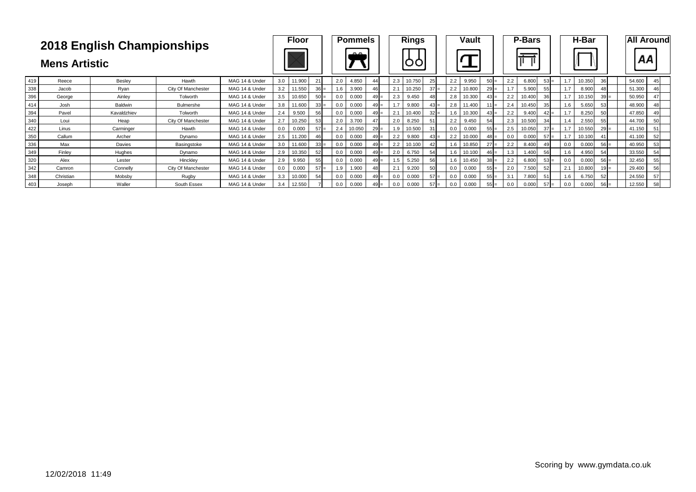|     |           | 2018 English Championships<br>Hawth<br>Besley<br>Reece<br>City Of Manchester<br>Rvan<br>Jacob<br>Ainley<br>George<br>Tolworth                                 |                    |                |     |        |                 |     | <b>Pommels</b> |        |     | <b>Rings</b> |        |     | Vault  |        |           | <b>P-Bars</b> |        |     | H-Bar  |        |        | <b>All Around</b> |
|-----|-----------|---------------------------------------------------------------------------------------------------------------------------------------------------------------|--------------------|----------------|-----|--------|-----------------|-----|----------------|--------|-----|--------------|--------|-----|--------|--------|-----------|---------------|--------|-----|--------|--------|--------|-------------------|
|     |           | <b>Mens Artistic</b><br>Baldwin<br>Bulmershe<br>Josh<br>Pavel<br>Kavaldzhiev<br>Tolworth<br>City Of Manchester<br>Loui<br>Heap<br>Carminger<br>Hawth<br>Linus |                    |                |     |        |                 |     | $\sim$         |        |     |              |        |     |        |        |           |               |        |     |        |        | АA     |                   |
| 419 |           |                                                                                                                                                               |                    | MAG 14 & Under | 3.0 | 11.900 | 211             | 2.0 | 4.850          | 44     | 2.3 | 10.750       | 25     | 2.2 | 9.950  | $50 =$ | 2.2       | 6.800         | $53 =$ | 1.7 | 10.350 | 36     | 54.600 |                   |
| 338 |           |                                                                                                                                                               |                    | MAG 14 & Under | 3.2 | 11.550 | $36 =$          | 1.6 | 3.900          | 46     | 2.1 | 10.250       | $37 =$ | 2.2 | 10.800 | $29 =$ | 1.7       | 5.900         | 55     | 1.7 | 8.900  |        | 51.300 |                   |
| 396 |           |                                                                                                                                                               |                    | MAG 14 & Under | 3.5 | 10.650 | $50 =$          | 0.0 | 0.000          | $49 =$ | 2.3 | 9.450        |        | 2.8 | 10.300 | $43 =$ | 2.2       | 10.400        | 36     | 1.7 | 10.150 | $39 =$ | 50.950 |                   |
| 414 |           |                                                                                                                                                               |                    | MAG 14 & Under | 3.8 | 11.600 | $33 =$          | 0.0 | 0.000          | $49 =$ | 1.7 | 9.800        | $43 =$ | 2.8 | 11.400 | $11 =$ | 2.4       | 10.450        | 35     | 1.6 | 5.650  |        | 48.900 |                   |
| 394 |           |                                                                                                                                                               |                    | MAG 14 & Under | 2.4 | 9.500  | 56              | 0.0 | 0.000          | $49 =$ | 2.1 | 10.400       | $32 =$ | 1.6 | 10.300 | $43 =$ | 2.2       | 9.400         | $42 =$ | 1.7 | 8.250  |        | 47.850 |                   |
| 340 |           |                                                                                                                                                               |                    | MAG 14 & Under | 2.7 | 10.250 | 53              | 2.0 | 3.700          | 47     | 2.0 | 8.250        | 51     | 2.2 | 9.450  | 54     | 2.3       | 10.500        | 34     |     | 2.550  |        | 44.700 | 50                |
| 422 |           |                                                                                                                                                               |                    | MAG 14 & Under | 0.0 | 0.000  | $57 =$          | 2.4 | 10.050         | $29 =$ | 1.9 | 10.500       | 31     | 0.0 | 0.000  | $55 =$ | 2.5       | 10.050        | $37 =$ | 1.7 | 10.550 |        | 41.150 |                   |
| 350 | Callum    | Archer                                                                                                                                                        | Dynamo             | MAG 14 & Under | 2.5 | 11.200 | 46              | 0.0 | 0.000          | $49 =$ | 2.2 | 9.800        | $43 =$ | 2.2 | 10.000 | $48 =$ | 0.0       | 0.000         | $57 =$ | 1.7 | 10.100 |        | 41.100 | 52                |
| 336 | Max       | Davies                                                                                                                                                        | Basingstoke        | MAG 14 & Under | 3.0 | 11.600 | $33 =$          | 0.0 | 0.000          | $49 =$ | 2.2 | 10.100       | 42     | 1.6 | 10.850 | $27 =$ | 2.2       | 8.400         | 49     | 0.0 | 0.000  | $56 =$ | 40.950 | 53                |
| 349 | Finley    | Hughes                                                                                                                                                        | Dynamo             | MAG 14 & Under | 2.9 | 10.350 | 52 <sub>1</sub> | 0.0 | 0.000          | $49 =$ | 2.0 | 6.750        | 54     | 1.6 | 10.100 | $46 =$ | $\cdot$ 3 | 1.400         | 56     | 1.6 | 4.950  |        | 33.550 | 54                |
| 320 | Alex      | Lester                                                                                                                                                        | Hincklev           | MAG 14 & Under | 2.9 | 9.950  | 55              | 0.0 | 0.000          | $49 =$ | 1.5 | 5.250        | 56     | 1.6 | 10.450 | $38 =$ | 2.2       | 6.800         | $53 =$ | 0.0 | 0.000  | $56 =$ | 32.450 | 55                |
| 342 | Camron    | Connelly                                                                                                                                                      | City Of Manchester | MAG 14 & Under | 0.0 | 0.000  | $57 =$          | 1.9 | 1.900          | 48     | 2.1 | 9.200        | 50     | 0.0 | 0.000  | $55 =$ | 2.0       | 7.500         | 52     | 2.1 | 10.800 |        | 29.400 | 56                |
| 348 | Christian | Mobsby                                                                                                                                                        | Rugby              | MAG 14 & Under | 3.3 | 10.000 | 54              | 0.0 | 0.000          |        | 0.0 | 0.000        | $57 =$ | 0.0 | 0.000  | $55 =$ | 3.1       | 7.800         | 51     | 1.6 | 6.750  | 52     | 24.550 | 57                |
| 403 | Joseph    | Waller                                                                                                                                                        | South Essex        | MAG 14 & Under | 3.4 | 12.550 |                 | 0.0 | 0.000          |        | 0.0 | 0.000        | $57 =$ | 0.0 | 0.000  | $55 =$ | 0.0       | 0.000         | $57 =$ | 0.0 | 0.000  |        | 12.550 | 58                |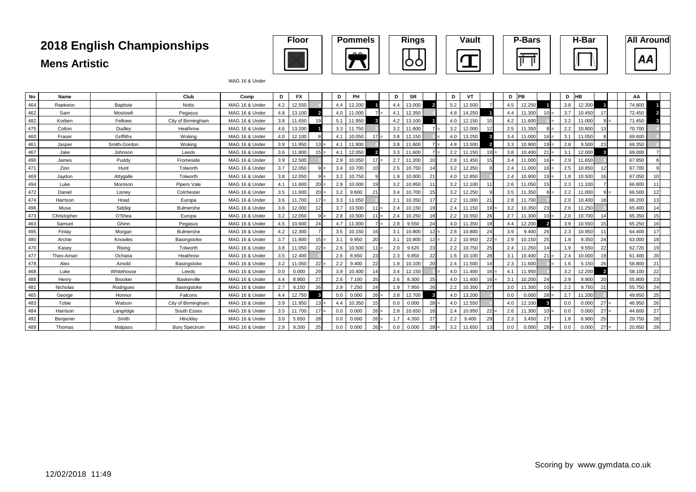

#### MAG 16 & Under

| No  | Name        |                 | Club                 | Comp           | D   | FX     |                 | D   | PH     |        | D   | <b>SR</b> |        | D   | VT     |        | D   | <b>PB</b> |        | D   | <b>HB</b> |        | AA     |    |
|-----|-------------|-----------------|----------------------|----------------|-----|--------|-----------------|-----|--------|--------|-----|-----------|--------|-----|--------|--------|-----|-----------|--------|-----|-----------|--------|--------|----|
| 464 | Raekwon     | <b>Baptiste</b> | <b>Notts</b>         | MAG 16 & Under | 4.2 | 12.550 |                 | 4.4 | 12.200 |        | 4.4 | 13.000    |        | 5.2 | 12.500 |        | 4.5 | 12.250    |        | 3.8 | 12.300    |        | 74.800 |    |
| 462 | Sam         | Mostowfi        | Pegasus              | MAG 16 & Under | 4.8 | 13.100 |                 | 4.0 | 11.000 |        | 4.1 | 12.350    |        | 4.8 | 14.250 |        | 4.4 | 11.300    |        | 3.7 | 10.450    | 17     | 72.450 |    |
| 482 | Korben      | Fellows         | City of Birmingham   | MAG 16 & Under | 3.8 | 11.650 |                 | 5.1 | 11.950 |        | 4.2 | 13.100    |        | 4.0 | 12.150 |        | 4.2 | 11.600    |        | 3.2 | 11.000    |        | 71.450 |    |
| 475 | Colton      | Dudley          | Heathrow             | MAG 16 & Under | 4.6 | 13,200 |                 | 3.3 | 11.750 |        | 3.2 | 11.600    |        | 3.2 | 12.000 |        | 2.5 | 11.350    |        | 2.2 | 10,800    | 13     | 70.700 |    |
| 460 | Fraser      | Griffiths       | Woking               | MAG 16 & Under | 4.0 | 12.100 |                 | 4.1 | 10.050 |        | 3.8 | 12.150    |        | 4.0 | 13.250 |        | 3.4 | 11.000    | $16 =$ | 3.1 | 11.050    |        | 69.600 |    |
| 461 | Jasper      | Smith-Gordon    | Wokina               | MAG 16 & Under | 3.9 | 11.950 | $13 =$          | 4.1 | 11.900 |        | 3.8 | 11.600    |        | 4.8 | 13.500 |        | 3.3 | 10.900    |        | 2.8 | 9.500     | 23     | 69.350 |    |
| 467 | Jake        | Johnson         | Leeds                | MAG 16 & Under | 3.6 | 11.800 | $15 =$          | 4.1 | 12.050 |        | 3.3 | 11,600    |        | 2.2 | 11.150 |        | 3.8 | 10.400    | 21     | 3.1 | 12.000    |        | 69.000 |    |
| 490 | James       | Puddy           | Fromeside            | MAG 16 & Under | 3.9 | 12.500 |                 | 2.9 | 10.050 |        | 2.7 | 11.200    |        | 2.8 | 11.450 |        | 3.4 | 11.000    | $16 =$ | 2.9 | 11.650    |        | 67.850 |    |
| 471 | Zion        | Hunt            | Tolworth             | MAG 16 & Under | 3.7 | 12.050 |                 | 3.4 | 10.700 |        | 2.5 | 10.750    |        | 3.2 | 12.350 |        | 2.4 | 11.000    | 16     | 2.5 | 10.850    | 12     | 67.700 |    |
| 469 | Jaydon      | Attygalle       | Tolworth             | MAG 16 & Under | 3.8 | 12.050 |                 | 3.2 | 10.750 |        | 1.9 | 10.000    | 21     | 4.0 | 12.850 |        | 2.4 | 10.900    | 19     | 1.8 | 10.500    | 16     | 67.050 |    |
| 494 | Luke        | Morrison        | Pipers Vale          | MAG 16 & Under | 4.1 | 11.600 | 20              | 2.9 | 10.000 |        | 3.2 | 10.950    | 11     | 3.2 | 12.100 |        | 2.6 | 11.050    | 15     | 2.3 | 11.100    |        | 66.800 |    |
| 472 | Daniel      | Lisney          | Colchester           | MAG 16 & Under | 3.5 | 11.600 | 20              | 3.2 | 9.600  | 21     | 3.4 | 10.700    | 15     | 3.2 | 12.250 |        | 3.5 | 11.350    |        | 2.2 | 11.000    |        | 66.500 | 12 |
| 474 | Harrison    | Hoad            | Europa               | MAG 16 & Under | 3.6 | 11.700 | 17 <sup>1</sup> | 3.3 | 11.050 |        | 2.1 | 10.350    | 17     | 2.2 | 11.000 | 21     | 2.8 | 11.700    |        | 2.0 | 10.400    | 18     | 66.200 | 13 |
| 496 | Musa        | Siddigi         | Bulmershe            | MAG 16 & Under | 3.6 | 12.000 |                 | 3.7 | 10.500 | $11 =$ | 2.4 | 10.150    | 19     | 2.4 | 11.150 |        | 3.2 | 10.350    | 23     | 2.6 | 11.250    |        | 65.400 |    |
| 473 | Christopher | O'Shea          | Europa               | MAG 16 & Under | 3.2 | 12.050 |                 | 2.8 | 10.500 | $11 =$ | 2.4 | 10.250    | 18     | 2.2 | 10.550 | 26     | 2.7 | 11.300    | $10 =$ | 2.0 | 10.700    |        | 65.350 | 15 |
| 463 | Samuel      | Ghinn           | Pegasus              | MAG 16 & Under | 4.5 | 10.600 |                 | 4.7 | 11.000 |        | 2.8 | 9.550     | 24     | 4.0 | 11.350 |        | 4.4 | 12.200    |        | 3.9 | 10.550    | 15     | 65.250 |    |
| 495 | Finlav      | Morgan          | Bulmershe            | MAG 16 & Under | 4.2 | 12.300 |                 | 3.5 | 10.150 |        | 3.1 | 10.800    | 12     | 2.8 | 10,800 | 24     | 3.9 | 9.400     | 26     | 2.3 | 10.950    | 11     | 64.400 | 17 |
| 480 | Archie      | Knowles         | Basingstoke          | MAG 16 & Under | 3.7 | 11.800 | 15 <sub>l</sub> | 3.1 | 9.950  | 20     | 3.1 | 10,800    | 12     | 2.2 | 10.950 | $22 =$ | 2.9 | 10.150    | 25     | 1.8 | 9.350     | 24     | 63.000 | 18 |
| 470 | Kasev       | Risina          | Tolworth             | MAG 16 & Under | 3.8 | 11.050 | $22 =$          | 2.6 | 10.500 | $11 =$ | 2.0 | 9.620     | 23     | 2.2 | 10.750 | 25     | 2.4 | 11.250    |        | 1.9 | 9.550     | 22     | 62.720 | 19 |
| 477 | Theo-Amari  | Ochana          | Heathrow             | MAG 16 & Under | 3.5 | 12.400 |                 | 2.6 | 8.650  | 23     | 2.3 | 9.850     | 22     | 1.6 | 10.100 | 28     | 3.1 | 10.400    | 21     | 2.4 | 10.000    | 19     | 61.400 | 20 |
| 478 | Alex        | Arnold          | Basingstoke          | MAG 16 & Under | 3.2 | 11.050 | 22              | 2.2 | 9.400  | 22     | 1.8 | 10.100    | 20     | 2.4 | 11.500 |        | 2.3 | 11.600    |        | 1.6 | 5.150     | 26     | 58.800 | 21 |
| 468 | Luke        | Whitehouse      | Leeds                | MAG 16 & Under | 0.0 | 0.000  | 29              | 3.9 | 10.400 | 1/     | 3.4 | 12.150    |        | 4.0 | 11.400 |        | 4.1 | 11.950    |        | 3.2 | 12.200    |        | 58.100 | 22 |
| 488 | Henry       | <b>Brooker</b>  | Baskerville          | MAG 16 & Under | 4.4 | 8.900  | 27              | 2.6 | 7.100  | 25     | 2.6 | 8.300     | 25     | 4.0 | 11.400 |        | 3.1 | 10.200    | 24     | 2.9 | 9.900     | 20     | 55.800 | 23 |
| 481 | Nicholas    | Rodrigues       | Basingstoke          | MAG 16 & Under | 2.7 | 9.150  | 26              | 2.9 | 7.250  | 24     | 1.9 | 7.950     | 26     | 2.2 | 10.350 | 27     | 3.0 | 11.300    | $10 =$ | 2.2 | 9.750     | 21     | 55.750 | 24 |
| 465 | George      | Honnor          | Falcons              | MAG 16 & Under | 4.4 | 12.750 |                 | 0.0 | 0.000  | $26 =$ | 3.8 | 12.700    |        | 4.0 | 13.200 |        | 0.0 | 0.000     | $28 =$ | 2.7 | 11.200    |        | 49.850 | 25 |
| 483 | Tobie       | Watson          | City of Birmingham   | MAG 16 & Under | 3.9 | 11.950 | 13 <sup>1</sup> | 4.4 | 10.350 |        | 0.0 | 0.000     | 28     | 4.0 | 12.550 |        | 4.0 | 12.100    |        | 0.0 | 0.000     | $27 =$ | 46.950 | 26 |
| 484 | Harrison    | Langridge       | South Essex          | MAG 16 & Under | 3.5 | 11.700 | $17 =$          | 0.0 | 0.000  | $26 =$ | 2.8 | 10.650    | 16     | 2.4 | 10.950 | $22 =$ | 2.6 | 11.300    | $10 =$ | 0.0 | 0.000     | $27 =$ | 44.600 | 27 |
| 492 | Benjamin    | Smith           | Hinckley             | MAG 16 & Under | 3.0 | 5.650  | 28              | 0.0 | 0.000  | $26 =$ | 1.7 | 4.350     | 27     | 2.2 | 9.400  | 29     | 2.3 | 3.450     | 27     | 1.8 | 6.900     | 25     | 29.750 | 28 |
| 489 | Thomas      | Malpass         | <b>Bury Spectrum</b> | MAG 16 & Under | 2.9 | 9.200  |                 | 0.0 | 0.000  | $26 =$ | 0.0 | 0.000     | $28 =$ | 3.2 | 11.650 |        | 0.0 | 0.000     |        | 0.0 | 0.000     | 27     | 20.850 | 29 |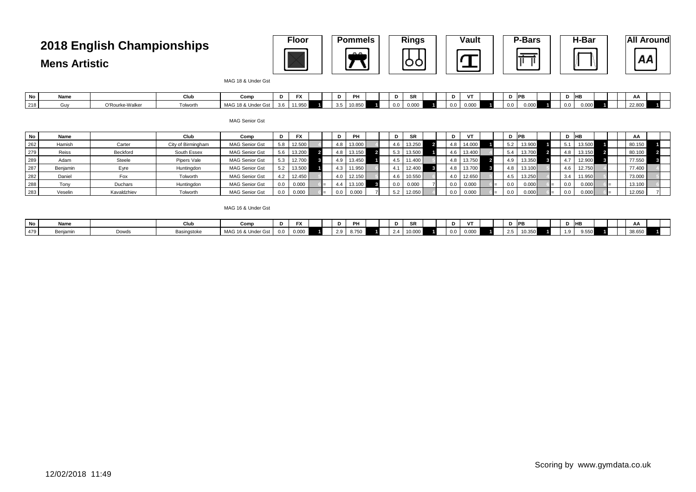### **2018 English Championships**

**Mens Artistic**

| <b>Floor</b> | <b>Pommels</b> | <b>Rings</b> | <b>Vault</b> | P-Bars | H-Bar | <b>All Around</b> |
|--------------|----------------|--------------|--------------|--------|-------|-------------------|
|              | $\mathbf{A}$   |              |              |        |       |                   |

MAG 18 & Under Gst

| No  | Name  |             | Clu.            | Com                                |     | $\sim$<br>$\overline{\phantom{a}}$ |    | rн.    |                               | <b>GP</b><br>ייש | .,  | $\mathbf{r}$   |  |       | Ð       | <b>HB</b> |  | A/            |  |
|-----|-------|-------------|-----------------|------------------------------------|-----|------------------------------------|----|--------|-------------------------------|------------------|-----|----------------|--|-------|---------|-----------|--|---------------|--|
| 218 | 'ull∿ | O'Rourke-Wa | <b>Tolworth</b> | <b>MAG 18 &amp;</b><br>∴ & Under ⊆ | --- | $\sim$ $\sim$ $\sim$               | ັັ | 10.850 | $\sim$<br>$\mathbf{u}$<br>--- | 0.000            | 0.0 | 0.000<br>v.vvv |  | ----- | $0.0\,$ | $.000 -$  |  | <b>22.800</b> |  |

MAG Senior Gst

| No  | Name     |             | Club               | Comp                  |     | <b>FX</b> |     | PH     |  |     | <b>SR</b> |  |     | VT     |     | <b>IPB</b> |     |     | HB     |  | AA     |  |
|-----|----------|-------------|--------------------|-----------------------|-----|-----------|-----|--------|--|-----|-----------|--|-----|--------|-----|------------|-----|-----|--------|--|--------|--|
| 262 | Hamish   | Carter      | City of Birmingham | <b>MAG Senior Gst</b> | 5.8 | 12.500    | 4.8 | 13.000 |  | 4.6 | 13.250    |  | 4.6 | 14.000 | 5.2 | 13.900     |     |     | 13.500 |  | 80.150 |  |
| 279 | Reiss    | Beckford    | South Essex        | MAG Senior Gst        | 5.6 | 13.200    | 4.8 | 13.150 |  |     | 13.500    |  |     | 13.400 | 5.4 | 13.700     | 4.8 |     | 13.150 |  | 80.100 |  |
| 289 | Adam     | Steele      | Pipers Vale        | MAG Senior Gst        | 5.3 | 12.700    | 4.9 | 13.450 |  | 4.5 | 11.400    |  |     | 13.750 | 4.9 | 13.350     |     |     | 12.900 |  | 77.550 |  |
| 287 | Benjamin | Eyre        | Huntingdon         | <b>MAG Senior Gst</b> | 5.2 | 13.500    | 4.3 | 11.950 |  |     | 12.400    |  | 4.8 | 13.700 | 4.8 | 13.100     | 4.6 |     | 12.750 |  | 77.400 |  |
| 282 | Daniel   | Fox         | Tolworth           | MAG Senior Gst        | 4.2 | 12.450    | 4.0 | 12.150 |  | 4.6 | 10.550    |  | 40  | 12.650 | 4.5 | 13.250     |     | 3.4 | 11.950 |  | 73.000 |  |
| 288 | Tony     | Duchars     | Huntingdon         | <b>MAG Senior Gst</b> | 0.0 | 0.000     |     | 13.100 |  |     | 0.000     |  |     | 0.000  | 0.0 | 0.000      |     | 0.0 | 0.000  |  | 13.100 |  |
| 283 | Veselin  | Kavaldzhiev | Tolworth           | <b>MAG Senior Gst</b> | 0.0 | 0.000     | 0.0 | 0.000  |  |     | 12.050    |  |     | 0.000  | 0.0 | 0.000      |     |     | 0.000  |  | 12.050 |  |

MAG 16 & Under Gst

| No l | Name   |               | vuu         | Comp               | $-1$<br>$\overline{ }$ | ִ           | PH    | D. | en.<br>- SR |  | D.  | V                      |           | D PB  | D    | . no |  | <b>AL</b> |  |
|------|--------|---------------|-------------|--------------------|------------------------|-------------|-------|----|-------------|--|-----|------------------------|-----------|-------|------|------|--|-----------|--|
| 479  | าเamıı | 10111<br>אט∪∪ | asingstokrد | MAG 16 & Under Gst | 0.000                  | າ ດ<br>ت. ک | 8.750 |    | 10.000      |  | 0.0 | $\sim$<br><b>U.UUU</b> | つち<br>ں.ے | v.vov | ت. ا | .550 |  | ບບ.ບບບ    |  |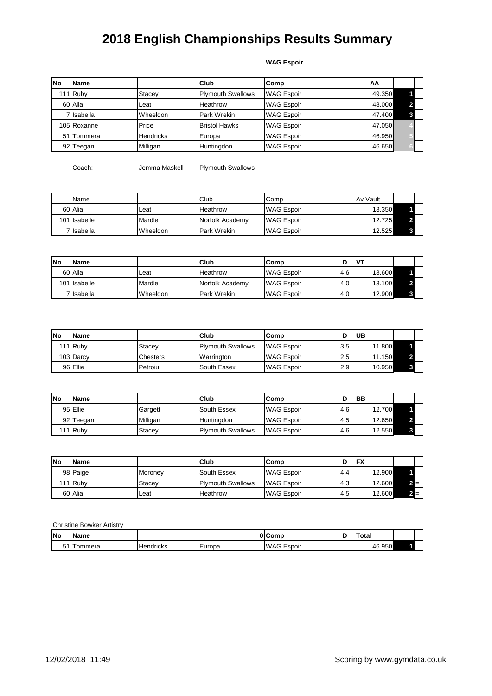#### **WAG Espoir**

| lNo             | Name        |                  | <b>Club</b>              | Comp              | AA     |  |
|-----------------|-------------|------------------|--------------------------|-------------------|--------|--|
|                 | 111 Ruby    | Stacey           | <b>Plymouth Swallows</b> | <b>WAG Espoir</b> | 49.350 |  |
|                 | 60 Alia     | Leat             | Heathrow                 | <b>WAG Espoir</b> | 48.000 |  |
|                 | 7 Isabella  | Wheeldon         | Park Wrekin              | <b>WAG Espoir</b> | 47.400 |  |
|                 | 105 Roxanne | Price            | <b>Bristol Hawks</b>     | <b>WAG Espoir</b> | 47.050 |  |
|                 | 51 Tommera  | <b>Hendricks</b> | Europa                   | <b>WAG Espoir</b> | 46.950 |  |
| 92 <sub>l</sub> | Teegan      | Milligan         | Huntingdon               | <b>WAG Espoir</b> | 46.650 |  |

Coach: Jemma Maskell Plymouth Swallows

| <b>Name</b>  |          | Club               | Comp              | Av Vault |  |
|--------------|----------|--------------------|-------------------|----------|--|
| 60 Alia      | Leat     | Heathrow           | <b>WAG Espoir</b> | 13.350   |  |
| 101 Isabelle | Mardle   | Norfolk Academy    | <b>WAG Espoir</b> | 12.725   |  |
| 7 Isabella   | Wheeldon | <b>Park Wrekin</b> | <b>WAG Espoir</b> | 12.525   |  |

| lNo | <b>Name</b>  |          | <b>Club</b>        | Comp              |     |        |  |
|-----|--------------|----------|--------------------|-------------------|-----|--------|--|
|     | 60 Alia      | Leat     | <b>Heathrow</b>    | <b>WAG Espoir</b> | 4.6 | 13.600 |  |
|     | 101 Isabelle | Mardle   | Norfolk Academy    | <b>WAG Espoir</b> | 4.0 | 13.100 |  |
|     | 7 Isabella   | Wheeldon | <b>Park Wrekin</b> | <b>WAG Espoir</b> | 4.0 | 12.900 |  |

| <b>INo</b> | <b>IName</b> |                 | <b>Club</b>              | <b>Comp</b>       |     | <b>UB</b> |   |  |
|------------|--------------|-----------------|--------------------------|-------------------|-----|-----------|---|--|
|            | 111 Ruby     | <b>Stacev</b>   | <b>Plymouth Swallows</b> | <b>WAG Espoir</b> | 3.5 | 11.800    |   |  |
|            | 103 Darcy    | <b>Chesters</b> | Warrington               | <b>WAG Espoir</b> | 2.5 | 11.150    |   |  |
|            | 96 Ellie     | Petroiu         | South Essex              | <b>WAG Espoir</b> | 2.9 | 10.950    | o |  |

| <b>INo</b> | <b>Name</b> |          | <b>Club</b>              | <b>Comp</b>       |     | <b>BB</b> |   |  |
|------------|-------------|----------|--------------------------|-------------------|-----|-----------|---|--|
|            | 95 Ellie    | Gargett  | South Essex              | <b>WAG Espoir</b> | 4.6 | 12.700    |   |  |
|            | 92 Teegan   | Milligan | Huntinadon               | <b>WAG Espoir</b> | 4.5 | 12.650    |   |  |
|            | 111 Ruby    | Stacev   | <b>Plymouth Swallows</b> | <b>WAG Espoir</b> | 4.6 | 12.550    | 3 |  |

| lNo | <b>IName</b> |                | <b>Club</b>              | lComp             |     | FX     |  |
|-----|--------------|----------------|--------------------------|-------------------|-----|--------|--|
|     | 98 Paige     | <b>Moroney</b> | South Essex              | <b>WAG Espoir</b> | 4.4 | 12.900 |  |
|     | 111 Ruby     | Stacev         | <b>Plymouth Swallows</b> | <b>WAG Espoir</b> | 4.3 | 12.600 |  |
|     | 60 Alia      | Leat           | <b>Heathrow</b>          | <b>WAG Espoir</b> | 4.5 | 12.600 |  |

Christine Bowker Artistry

| <b>INo</b> | <b>Name</b> |                  |        | 01Comr                    | ota.   |  |
|------------|-------------|------------------|--------|---------------------------|--------|--|
| - - - -    | ommera      | <b>Hendricks</b> | Europa | -<br><b>WAG</b><br>Espoir | 46.950 |  |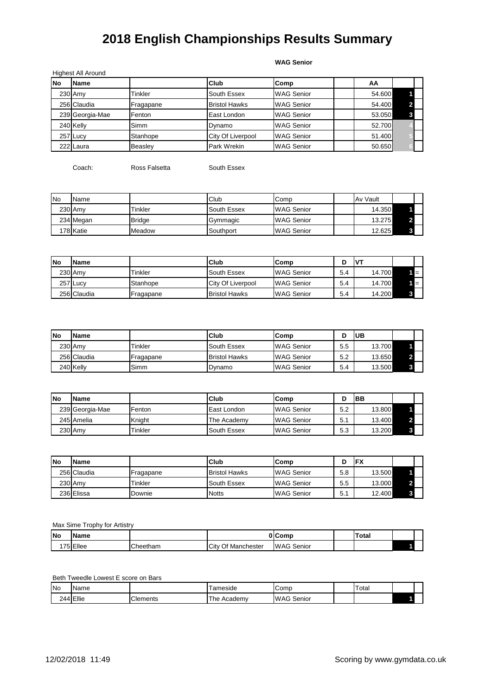**WAG Senior**

|     | Highest All Around |           |                          |                   |        |  |
|-----|--------------------|-----------|--------------------------|-------------------|--------|--|
| lNo | <b>Name</b>        |           | <b>Club</b>              | Comp              | AA     |  |
|     | 230 Amy            | Tinkler   | South Essex              | <b>WAG Senior</b> | 54.600 |  |
|     | 256 Claudia        | Fragapane | <b>Bristol Hawks</b>     | <b>WAG Senior</b> | 54.400 |  |
|     | 239 Georgia-Mae    | Fenton    | East London              | <b>WAG Senior</b> | 53.050 |  |
|     | 240 Kelly          | Simm      | Dynamo                   | <b>WAG Senior</b> | 52.700 |  |
|     | 257 Lucy           | Stanhope  | <b>City Of Liverpool</b> | <b>WAG Senior</b> | 51.400 |  |
|     | 222 Laura          | Beasley   | Park Wrekin              | <b>WAG Senior</b> | 50.650 |  |

Coach: Ross Falsetta South Essex

| <b>No</b> | Name      |               | Club        | Comp              | Av Vault |  |
|-----------|-----------|---------------|-------------|-------------------|----------|--|
|           | 230 Amy   | Tinkler       | South Essex | <b>WAG Senior</b> | 14.350   |  |
|           | 234 Megan | <b>Bridge</b> | Gymmagic    | <b>WAG Senior</b> | 13.275   |  |
|           | 178 Katie | Meadow        | Southport   | <b>WAG Senior</b> | 12.625   |  |

| lNo | <b>Name</b> |           | <b>Club</b>              | Comp              | ш   | $IV^{\tau}$ |  |
|-----|-------------|-----------|--------------------------|-------------------|-----|-------------|--|
|     | 230 Amy     | Tinkler   | South Essex              | <b>WAG Senior</b> | 5.4 | 14.700      |  |
|     | 257 Lucy    | Stanhope  | <b>City Of Liverpool</b> | <b>WAG Senior</b> | 5.4 | 14.700      |  |
|     | 256 Claudia | Fragapane | <b>Bristol Hawks</b>     | <b>WAG Senior</b> | 5.4 | 14.200      |  |

| <b>INo</b> | <b>Name</b> |           | <b>Club</b>          | Comp              | ш   | IUВ    |  |
|------------|-------------|-----------|----------------------|-------------------|-----|--------|--|
|            | 230 Amv     | Tinkler   | South Essex          | <b>WAG Senior</b> | 5.5 | 13.700 |  |
|            | 256 Claudia | Fragapane | <b>Bristol Hawks</b> | <b>WAG Senior</b> | 5.2 | 13.650 |  |
|            | 240 Kelly   | Simm      | Dynamo               | <b>WAG Senior</b> | 5.4 | 13.500 |  |

| lNo | Name            |         | <b>Club</b> | Comp              |     | IBB    |  |
|-----|-----------------|---------|-------------|-------------------|-----|--------|--|
|     | 239 Georgia-Mae | Fenton  | East London | <b>WAG Senior</b> | 5.2 | 13.800 |  |
|     | 245 Amelia      | Knight  | The Academy | <b>WAG Senior</b> | 5.1 | 13.400 |  |
|     | 230 Amy         | Tinkler | South Essex | <b>WAG Senior</b> | 5.3 | 13.200 |  |

| lNo | <b>Name</b> |           | Club                 | Comp              |     | FX     |   |  |
|-----|-------------|-----------|----------------------|-------------------|-----|--------|---|--|
|     | 256 Claudia | Fragapane | <b>Bristol Hawks</b> | <b>WAG Senior</b> | 5.8 | 13.500 |   |  |
|     | 230 Amy     | Tinkler   | South Essex          | <b>WAG Senior</b> | 5.5 | 13.000 |   |  |
|     | 236 Elissa  | Downie    | <b>Notts</b>         | <b>WAG Senior</b> | 5.  | 12.400 | 3 |  |

Max Sime Trophy for Artistry

| <b>INo</b> | IN<br>ΠG |                            | Ωı                            | 'omr                 | Total |  |
|------------|----------|----------------------------|-------------------------------|----------------------|-------|--|
|            | :llee    | $\sim$ $\sim$<br>ieetriani | ``<br>nester<br>Manch<br>City | <b>WAG</b><br>Senior |       |  |

Beth Tweedle Lowest E score on Bars

| <b>No</b> | Nar<br>∍me   |          | ameside       | Comp                  | Гоtal |  |
|-----------|--------------|----------|---------------|-----------------------|-------|--|
|           | -<br>' ⊨llie | Clements | Academy<br>he | IM.<br>Senior<br>، AG |       |  |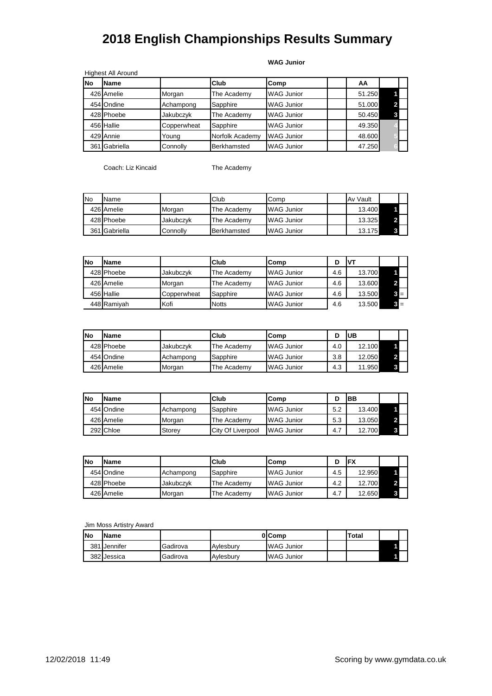#### **WAG Junior**

|     | <b>Highest All Around</b> |             |                 |                   |        |  |
|-----|---------------------------|-------------|-----------------|-------------------|--------|--|
| lNo | <b>Name</b>               |             | <b>Club</b>     | Comp              | AA     |  |
|     | 426 Amelie                | Morgan      | The Academy     | <b>WAG Junior</b> | 51.250 |  |
|     | 454 Ondine                | Achampong   | Sapphire        | <b>WAG Junior</b> | 51.000 |  |
|     | 428 Phoebe                | Jakubczyk   | The Academy     | <b>WAG Junior</b> | 50.450 |  |
|     | 456 Hallie                | Copperwheat | Sapphire        | <b>WAG Junior</b> | 49.350 |  |
|     | 429 Annie                 | Young       | Norfolk Academy | <b>WAG Junior</b> | 48.600 |  |
|     | 361 Gabriella             | Connolly    | Berkhamsted     | <b>WAG Junior</b> | 47.250 |  |

Coach: Liz Kincaid The Academy

| <b>INo</b> | Name          |           | Club        | Comp              | Av Vault |  |
|------------|---------------|-----------|-------------|-------------------|----------|--|
|            | 426 Amelie    | Morgan    | The Academv | WAG Junior        | 13.400   |  |
|            | 428 Phoebe    | Jakubczyk | The Academv | <b>WAG Junior</b> | 13.325   |  |
|            | 361 Gabriella | Connolly  | Berkhamsted | <b>WAG Junior</b> | 13.175   |  |

| <b>No</b> | <b>Name</b> |             | Club         | lComp             |     | V٦     |       |
|-----------|-------------|-------------|--------------|-------------------|-----|--------|-------|
|           | 428 Phoebe  | Jakubczyk   | The Academv  | <b>WAG Junior</b> | 4.6 | 13.700 |       |
|           | 426 Amelie  | Morgan      | The Academv  | <b>WAG Junior</b> | 4.6 | 13.600 |       |
|           | 456 Hallie  | Copperwheat | Sapphire     | <b>WAG Junior</b> | 4.6 | 13.500 | $3 =$ |
|           | 448 Ramivah | Kofi        | <b>Notts</b> | <b>WAG Junior</b> | 4.6 | 13.500 | $3 =$ |

| <b>INo</b> | <b>Name</b> |           | Club        | Comp              |     | UB     |  |
|------------|-------------|-----------|-------------|-------------------|-----|--------|--|
|            | 428 Phoebe  | Jakubczvk | The Academy | <b>WAG Junior</b> | 4.0 | 12.100 |  |
|            | 454 Ondine  | Achampong | Sapphire    | <b>WAG Junior</b> | 3.8 | 12.050 |  |
|            | 426 Amelie  | Morgan    | The Academv | <b>WAG Junior</b> | 4.3 | 11.950 |  |

| <b>INo</b> | <b>Name</b> |           | Club              | Comp              |     | <b>BB</b> |  |
|------------|-------------|-----------|-------------------|-------------------|-----|-----------|--|
|            | 454 Ondine  | Achampong | Sapphire          | <b>WAG Junior</b> | 5.2 | 13.400    |  |
|            | 426 Amelie  | Morgan    | The Academy       | <b>WAG Junior</b> | 5.3 | 13.050    |  |
|            | 292 Chloe   | Storev    | City Of Liverpool | <b>WAG Junior</b> | 4.7 | 12.700    |  |

| <b>INo</b> | <b>Name</b> |           | Club        | Comp              | D   | FX     |  |
|------------|-------------|-----------|-------------|-------------------|-----|--------|--|
|            | 454 Ondine  | Achampong | Sapphire    | <b>WAG Junior</b> | 4.5 | 12.950 |  |
|            | 428 Phoebe  | Jakubczvk | The Academv | <b>WAG Junior</b> | 4.2 | 12.700 |  |
|            | 426 Amelie  | Morgan    | The Academv | <b>WAG Junior</b> | 4.7 | 12.650 |  |

Jim Moss Artistry Award

| lNo | <b>Name</b>  |          |           | 0 <sub>I</sub> Comp | Total |  |
|-----|--------------|----------|-----------|---------------------|-------|--|
|     | 381 Jennifer | Gadirova | Avlesburv | <b>WAG Junior</b>   |       |  |
|     | 382 Jessica  | Gadirova | Avlesbury | <b>WAG Junior</b>   |       |  |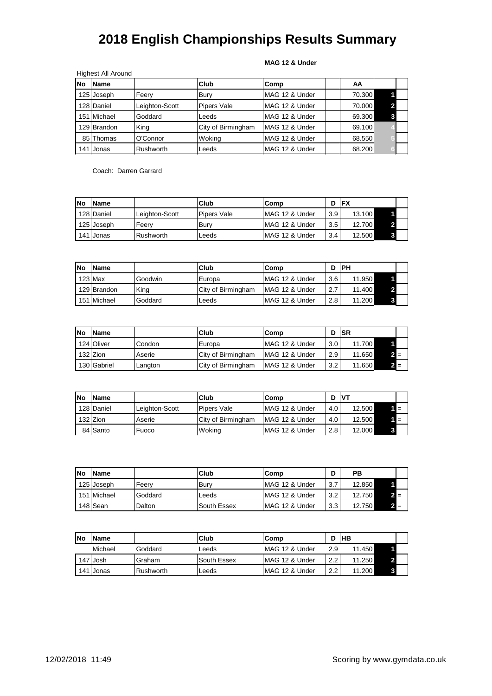|  |  | MAG 12 & Under |
|--|--|----------------|
|--|--|----------------|

|    | <b>Highest All Around</b> |                |                    |                |        |  |
|----|---------------------------|----------------|--------------------|----------------|--------|--|
| No | <b>Name</b>               |                | Club               | Comp           | AA     |  |
|    | 125 Joseph                | Feery          | Bury               | MAG 12 & Under | 70.300 |  |
|    | 128 Daniel                | Leighton-Scott | <b>Pipers Vale</b> | MAG 12 & Under | 70.000 |  |
|    | 151 Michael               | Goddard        | Leeds              | MAG 12 & Under | 69.300 |  |
|    | 129 Brandon               | King           | City of Birmingham | MAG 12 & Under | 69.100 |  |
|    | 85 Thomas                 | O'Connor       | Woking             | MAG 12 & Under | 68.550 |  |
|    | 141 Jonas                 | Rushworth      | Leeds              | MAG 12 & Under | 68.200 |  |

Coach: Darren Garrard

| <b>INo</b> | <b>IName</b> |                    | Club               | Comp           |          | <b>IFX</b> |  |
|------------|--------------|--------------------|--------------------|----------------|----------|------------|--|
|            | 128 Daniel   | Leighton-Scott     | <b>Pipers Vale</b> | MAG 12 & Under | 3.9      | 13.100     |  |
|            | 125 Joseph   | Feerv              | lBurv              | MAG 12 & Under | 3.5      | 12.700     |  |
|            | 141 Jonas    | <b>I</b> Rushworth | Leeds              | MAG 12 & Under | $3.4 \,$ | 12.500     |  |

| <b>INo</b> | <b>IName</b> |         | <b>Club</b>        | Comp            |     | <b>IPH</b> |  |
|------------|--------------|---------|--------------------|-----------------|-----|------------|--|
|            | $123$ Max    | Goodwin | Europa             | MAG 12 & Under  | 3.6 | 11.950     |  |
|            | 129 Brandon  | King    | City of Birmingham | MAG 12 & Under  | 2.7 | 11.400     |  |
|            | 151 Michael  | Goddard | Leeds              | IMAG 12 & Under | 2.8 | 11.200     |  |

| <b>No</b> | <b>Name</b> |         | Club                        | Comp           |     | <b>ISR</b> |  |
|-----------|-------------|---------|-----------------------------|----------------|-----|------------|--|
|           | 124 Oliver  | Condon  | Europa                      | MAG 12 & Under | 3.0 | 11.700     |  |
|           | 132 Zion    | Aserie  | <b>I</b> City of Birmingham | MAG 12 & Under | 2.9 | 11.650     |  |
|           | 130 Gabriel | Langton | City of Birmingham          | MAG 12 & Under | 3.2 | 11.650     |  |

| <b>INo</b> | <b>IName</b> |                | Club               | Comp           |     | <b>IVT</b> |  |
|------------|--------------|----------------|--------------------|----------------|-----|------------|--|
|            | 128 Daniel   | Leighton-Scott | <b>Pipers Vale</b> | MAG 12 & Under | 4.0 | 12.500     |  |
|            | 132 Zion     | Aserie         | City of Birmingham | MAG 12 & Under | 4.0 | 12.500     |  |
|            | 84 Santo     | Fuoco          | Woking             | MAG 12 & Under | 2.8 | 12.000     |  |

| <b>INo</b> | <b>IName</b> |         | Club        | Comp            | D   | PВ     |       |  |
|------------|--------------|---------|-------------|-----------------|-----|--------|-------|--|
|            | 125 Joseph   | Feerv   | Burv        | IMAG 12 & Under | 3.7 | 12.850 |       |  |
|            | 151 Michael  | Goddard | Leeds       | MAG 12 & Under  | 3.2 | 12.750 | 2 =   |  |
|            | 148 Sean     | Dalton  | South Essex | IMAG 12 & Under | 3.3 | 12.750 | $2 =$ |  |

| <b>No</b> | <b>IName</b> |           | <b>Club</b>        | Comp            |     | <b>IHB</b> |  |
|-----------|--------------|-----------|--------------------|-----------------|-----|------------|--|
|           | Michael      | Goddard   | ∟eeds              | MAG 12 & Under  | 2.9 | 11.450     |  |
|           | 147 Josh     | Graham    | <b>South Essex</b> | IMAG 12 & Under | 2.2 | 11.250     |  |
|           | 141 Jonas    | Rushworth | Leeds              | MAG 12 & Under  | 2.2 | 11.200     |  |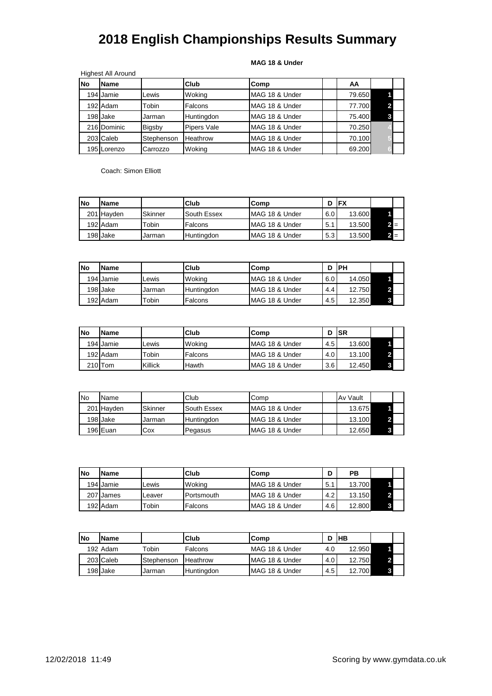#### **MAG 18 & Under**

|     | <b>Highest All Around</b> |            |                    |                |        |  |
|-----|---------------------------|------------|--------------------|----------------|--------|--|
| lNo | <b>Name</b>               |            | Club               | Comp           | AA     |  |
|     | 194 Jamie                 | Lewis      | Woking             | MAG 18 & Under | 79.650 |  |
|     | 192 Adam                  | Tobin      | Falcons            | MAG 18 & Under | 77.700 |  |
|     | 198 Jake                  | Jarman     | Huntingdon         | MAG 18 & Under | 75.400 |  |
|     | 216 Dominic               | Bigsby     | <b>Pipers Vale</b> | MAG 18 & Under | 70.250 |  |
|     | 203 Caleb                 | Stephenson | Heathrow           | MAG 18 & Under | 70.100 |  |
|     | 195 Lorenzo               | Carrozzo   | Woking             | MAG 18 & Under | 69.200 |  |

Coach: Simon Elliott

| <b>No</b> | <b>Name</b> |                   | Club              | <b>Comp</b>     |     | <b>IFX</b> |     |  |
|-----------|-------------|-------------------|-------------------|-----------------|-----|------------|-----|--|
|           | 201 Havden  | Skinner           | South Essex       | MAG 18 & Under  | 6.0 | 13.600     |     |  |
|           | 192 Adam    | <sup>r</sup> obin | Falcons           | MAG 18 & Under  | 5.1 | 13.500     |     |  |
|           | 198 Jake    | Jarman            | <b>Huntinadon</b> | IMAG 18 & Under | 5.3 | 13.500     | 2 = |  |

| <b>No</b> | <b>Name</b> |        | Club              | .Comp           | D   | IPH    |  |
|-----------|-------------|--------|-------------------|-----------------|-----|--------|--|
|           | 194 Jamie   | Lewis  | Wokina            | MAG 18 & Under  | 6.0 | 14.050 |  |
|           | 198 Jake    | Jarman | <b>Huntinadon</b> | MAG 18 & Under  | 4.4 | 12.750 |  |
|           | 192 Adam    | Tobin  | Falcons           | IMAG 18 & Under | 4.5 | 12.350 |  |

| lNo | <b>Name</b>          |         | Club    | lComp                      |     | <b>ISR</b> |  |
|-----|----------------------|---------|---------|----------------------------|-----|------------|--|
|     | 194 Jamie            | ∟ewis   | Wokina  | <b>IMAG 18 &amp; Under</b> | 4.5 | 13.600     |  |
|     | 192 Adam             | ™obin   | Falcons | <b>IMAG 18 &amp; Under</b> | 4.0 | 13.100     |  |
|     | 210 <sub>I</sub> Tom | Killick | Hawth   | IMAG 18 & Under            | 3.6 | 12.450     |  |

| <b>I</b> No | Name       |         | Club              | Comp                       | Av Vault |  |
|-------------|------------|---------|-------------------|----------------------------|----------|--|
|             | 201 Havden | Skinner | South Essex       | MAG 18 & Under             | 13.675   |  |
|             | 198 Jake   | Jarman  | <b>Huntinadon</b> | MAG 18 & Under             | 13.100   |  |
|             | 196 Euan   | Cox     | Pegasus           | <b>IMAG 18 &amp; Under</b> | 12.650   |  |

| <b>No</b> | <b>Name</b> |        | Club       | Comp            | ח<br>ш | РB     |  |
|-----------|-------------|--------|------------|-----------------|--------|--------|--|
|           | 194 Jamie   | Lewis  | Woking     | IMAG 18 & Under | 5.1    | 13.700 |  |
|           | 207 James   | Leaver | Portsmouth | IMAG 18 & Under | 4.2    | 13.150 |  |
|           | 192 Adam    | Tobin  | Falcons    | IMAG 18 & Under | 4.6    | 12.800 |  |

| <b>INo</b> | <b>Name</b> |             | <b>Club</b>     | Comp            | D   | ІНВ    |  |
|------------|-------------|-------------|-----------------|-----------------|-----|--------|--|
|            | 192 Adam    | $\tau$ obin | Falcons         | MAG 18 & Under  | 4.0 | 12.950 |  |
|            | 203 Caleb   | Stephenson  | <b>Heathrow</b> | IMAG 18 & Under | 4.0 | 12.750 |  |
|            | 198 Jake    | Jarman      | Huntingdon      | MAG 18 & Under  | 4.5 | 12.700 |  |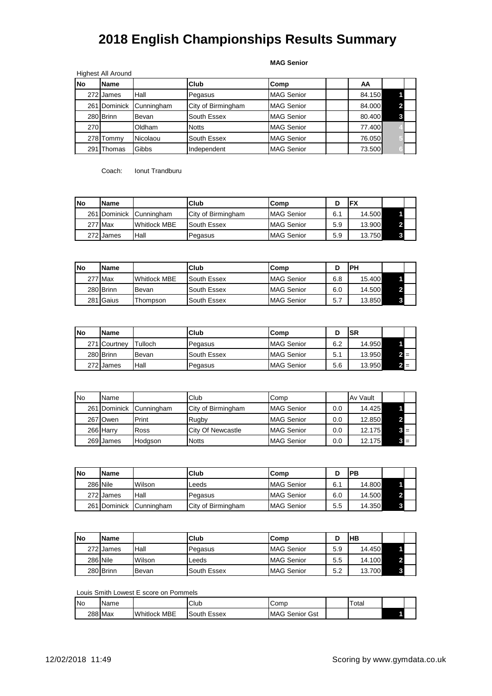#### **MAG Senior**

|     | <b>Highest All Around</b> |            |                    |                   |        |  |
|-----|---------------------------|------------|--------------------|-------------------|--------|--|
| No  | <b>Name</b>               |            | Club               | Comp              | AA     |  |
|     | 272 James                 | Hall       | Pegasus            | <b>MAG Senior</b> | 84.150 |  |
|     | 261 Dominick              | Cunningham | City of Birmingham | <b>MAG Senior</b> | 84.000 |  |
|     | 280 Brinn                 | Bevan      | South Essex        | <b>MAG Senior</b> | 80.400 |  |
| 270 |                           | Oldham     | <b>Notts</b>       | <b>MAG Senior</b> | 77.400 |  |
|     | 278 Tommy                 | Nicolaou   | South Essex        | <b>MAG Senior</b> | 76.050 |  |
| 291 | Thomas                    | Gibbs      | Independent        | <b>MAG Senior</b> | 73.500 |  |

Coach: Ionut Trandburu

| lNo | IName        |                     | Club               | Comp              |     | 'FX    |  |
|-----|--------------|---------------------|--------------------|-------------------|-----|--------|--|
|     | 261 Dominick | <b>Cunningham</b>   | City of Birmingham | <b>MAG Senior</b> | 6.1 | 14.500 |  |
|     | 277 Max      | <b>Whitlock MBE</b> | South Essex        | <b>MAG Senior</b> | 5.9 | 13.900 |  |
|     | 272 James    | Hall                | Pegasus            | <b>MAG Senior</b> | 5.9 | 13.750 |  |

| <b>No</b> | <b>Name</b> |                       | Club        | Comp              |     | <b>PH</b> |  |
|-----------|-------------|-----------------------|-------------|-------------------|-----|-----------|--|
|           | 277 Max     | <b>I</b> Whitlock MBE | South Essex | <b>MAG Senior</b> | 6.8 | 15.400    |  |
|           | 280 Brinn   | Bevan                 | South Essex | <b>MAG Senior</b> | 6.0 | 14.500    |  |
|           | 281 Gaius   | ⊺hompson              | South Essex | <b>MAG Senior</b> | 5.7 | 13.850    |  |

| <b>No</b> | <b>Name</b>  |         | Club        | lComp             |     | <b>SR</b> |     |  |
|-----------|--------------|---------|-------------|-------------------|-----|-----------|-----|--|
|           | 271 Courtney | Tulloch | Pegasus     | <b>MAG Senior</b> | 6.2 | 14.950    |     |  |
|           | 280 Brinn    | Bevan   | South Essex | <b>MAG Senior</b> | 5.1 | 13.950    | 2 ⊟ |  |
|           | 272 James    | Hall    | Pegasus     | <b>MAG Senior</b> | 5.6 | 13.950    | 2 ≡ |  |

| <b>No</b> | Name      |                         | Club                     | Comp              |     | <b>Av Vault</b> |       |
|-----------|-----------|-------------------------|--------------------------|-------------------|-----|-----------------|-------|
|           |           | 261 Dominick Cunningham | City of Birmingham       | <b>MAG Senior</b> | 0.0 | 14.425          |       |
|           | 267 Owen  | Print                   | Rugby                    | <b>MAG Senior</b> | 0.0 | 12.850          |       |
|           | 266 Harry | Ross                    | <b>City Of Newcastle</b> | <b>MAG Senior</b> | 0.0 | 12.175          | $3 =$ |
|           | 269 James | Hodgson                 | <b>Notts</b>             | <b>MAG Senior</b> | 0.0 | 12.175          | $3 =$ |

| <b>No</b> | <b>Name</b> |                         | Club               | Comp              |     | PB     |  |
|-----------|-------------|-------------------------|--------------------|-------------------|-----|--------|--|
|           | 286 Nile    | Wilson                  | Leeds              | <b>MAG Senior</b> | 6.1 | 14.800 |  |
|           | 272 James   | Hall                    | Pegasus            | <b>MAG Senior</b> | 6.0 | 14.500 |  |
|           |             | 261 Dominick Cunningham | City of Birmingham | <b>MAG Senior</b> | 5.5 | 14.350 |  |

| <b>No</b> | IName     |        | Club        | Comp              |     | IНB    |  |
|-----------|-----------|--------|-------------|-------------------|-----|--------|--|
|           | 272 James | Hall   | Pegasus     | <b>MAG Senior</b> | 5.9 | 14.450 |  |
|           | 286 Nile  | Wilson | Leeds       | <b>MAG Senior</b> | 5.5 | 14.100 |  |
|           | 280 Brinn | Bevan  | South Essex | <b>MAG Senior</b> | 5.2 | 13.700 |  |

Louis Smith Lowest E score on Pommels

| <b>INo</b> | Name    |                 | Club           | Comp                  | -<br>⊤otaı |  |
|------------|---------|-----------------|----------------|-----------------------|------------|--|
|            | 288 Max | Whitlock<br>MBE | South<br>Essex | IMAG<br>Gst<br>Senior |            |  |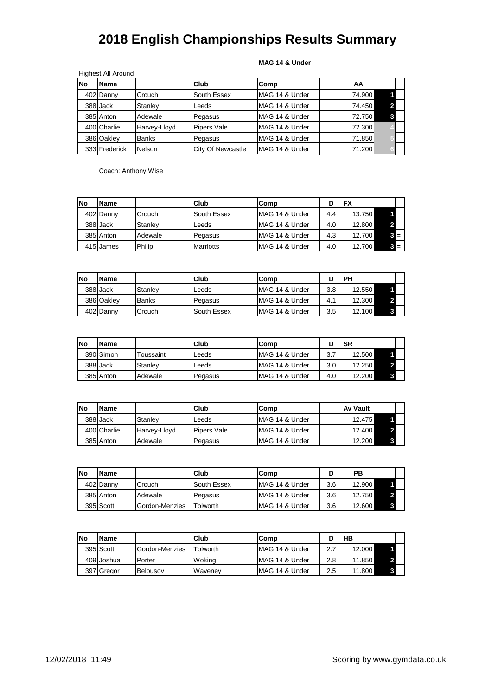### **MAG 14 & Under**

|           | <b>Highest All Around</b> |               |                    |                |        |   |  |
|-----------|---------------------------|---------------|--------------------|----------------|--------|---|--|
| <b>No</b> | <b>Name</b>               |               | Club               | Comp           | ΑА     |   |  |
|           | 402 Danny                 | Crouch        | South Essex        | MAG 14 & Under | 74.900 |   |  |
|           | 388 Jack                  | Stanley       | Leeds              | MAG 14 & Under | 74.450 |   |  |
|           | 385 Anton                 | Adewale       | Pegasus            | MAG 14 & Under | 72.750 | 3 |  |
|           | 400 Charlie               | Harvey-Lloyd  | <b>Pipers Vale</b> | MAG 14 & Under | 72.300 |   |  |
|           | 386 Oakley                | <b>Banks</b>  | Pegasus            | MAG 14 & Under | 71.850 |   |  |
|           | 333 Frederick             | <b>Nelson</b> | City Of Newcastle  | MAG 14 & Under | 71.200 |   |  |

Coach: Anthony Wise

| No | <b>Name</b> |         | Club             | lComp          |     | <b>FX</b> |       |  |
|----|-------------|---------|------------------|----------------|-----|-----------|-------|--|
|    | 402 Danny   | Crouch  | South Essex      | MAG 14 & Under | 4.4 | 13.750    |       |  |
|    | 388 Jack    | Stanley | Leeds            | MAG 14 & Under | 4.0 | 12.800    |       |  |
|    | 385 Anton   | Adewale | Pegasus          | MAG 14 & Under | 4.3 | 12.700    | $3 =$ |  |
|    | 415 James   | Philip  | <b>Marriotts</b> | MAG 14 & Under | 4.0 | 12.700    | $3 =$ |  |

| <b>INo</b> | <b>Name</b> |              | Club        | lComp          |     | PН     |  |
|------------|-------------|--------------|-------------|----------------|-----|--------|--|
|            | 388 Jack    | Stanlev      | Leeds       | MAG 14 & Under | 3.8 | 12.550 |  |
|            | 386 Oakley  | <b>Banks</b> | Pegasus     | MAG 14 & Under | 4.1 | 12.300 |  |
|            | 402 Danny   | Crouch       | South Essex | MAG 14 & Under | 3.5 | 12.100 |  |

| <b>No</b> | <b>IName</b> |                  | Club    | Comp           |     | SR     |  |
|-----------|--------------|------------------|---------|----------------|-----|--------|--|
|           | 390 Simon    | <b>Toussaint</b> | Leeds   | MAG 14 & Under | 3.7 | 12.500 |  |
|           | 388 Jack     | Stanlev          | ∟eeds   | MAG 14 & Under | 3.0 | 12.250 |  |
|           | 385 Anton    | Adewale          | Pegasus | MAG 14 & Under | 4.0 | 12.200 |  |

| lNo | <b>Name</b> |                     | Club               | Comp           | <b>Av Vault</b> |  |
|-----|-------------|---------------------|--------------------|----------------|-----------------|--|
|     | 388 Jack    | Stanley             | Leeds              | MAG 14 & Under | 12.475          |  |
|     | 400 Charlie | <b>Harvey-Llovd</b> | <b>Pipers Vale</b> | MAG 14 & Under | 12.400          |  |
|     | 385 Anton   | Adewale             | Pegasus            | MAG 14 & Under | 12.200          |  |

| <b>INo</b> | <b>Name</b> |                | Club        | Comp           |     | РB     |  |
|------------|-------------|----------------|-------------|----------------|-----|--------|--|
|            | 402 Danny   | Crouch         | South Essex | MAG 14 & Under | 3.6 | 12.900 |  |
|            | 385 Anton   | Adewale        | Pegasus     | MAG 14 & Under | 3.6 | 12.750 |  |
|            | 395 Scott   | Gordon-Menzies | -olworth    | MAG 14 & Under | 3.6 | 12.600 |  |

| <b>No</b> | <b>Name</b> |                | Club           | Comp           |         | HВ     |  |
|-----------|-------------|----------------|----------------|----------------|---------|--------|--|
|           | 395 Scott   | Gordon-Menzies | Tolworth       | MAG 14 & Under | 2.7     | 12.000 |  |
|           | 409 Joshua  | Porter         | Woking         | MAG 14 & Under | 2.8     | 11.850 |  |
|           | 397 Gregor  | Belousov       | <b>Wavenev</b> | MAG 14 & Under | $2.5\,$ | 11.800 |  |